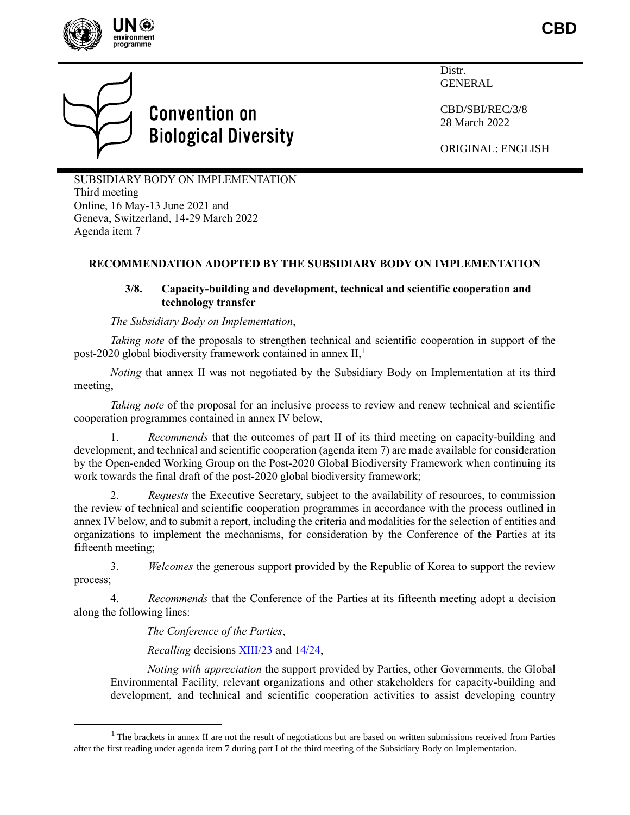

**CBD**



# **Convention on Biological Diversity**

Distr. GENERAL

CBD/SBI/REC/3/8 28 March 2022

ORIGINAL: ENGLISH

SUBSIDIARY BODY ON IMPLEMENTATION Third meeting Online, 16 May-13 June 2021 and Geneva, Switzerland, 14-29 March 2022 Agenda item 7

# **RECOMMENDATION ADOPTED BY THE SUBSIDIARY BODY ON IMPLEMENTATION**

## **3/8. Capacity-building and development, technical and scientific cooperation and technology transfer**

*The Subsidiary Body on Implementation*,

*Taking note* of the proposals to strengthen technical and scientific cooperation in support of the post-2020 global biodiversity framework contained in annex II, 1

*Noting* that annex II was not negotiated by the Subsidiary Body on Implementation at its third meeting,

*Taking note* of the proposal for an inclusive process to review and renew technical and scientific cooperation programmes contained in annex IV below,

1. *Recommends* that the outcomes of part II of its third meeting on capacity-building and development, and technical and scientific cooperation (agenda item 7) are made available for consideration by the Open-ended Working Group on the Post-2020 Global Biodiversity Framework when continuing its work towards the final draft of the post-2020 global biodiversity framework;

2. *Requests* the Executive Secretary, subject to the availability of resources, to commission the review of technical and scientific cooperation programmes in accordance with the process outlined in annex IV below, and to submit a report, including the criteria and modalities for the selection of entities and organizations to implement the mechanisms, for consideration by the Conference of the Parties at its fifteenth meeting;

3. *Welcomes* the generous support provided by the Republic of Korea to support the review process;

4. *Recommends* that the Conference of the Parties at its fifteenth meeting adopt a decision along the following lines:

*The Conference of the Parties*,

*Recalling* decisions [XIII/23](https://www.cbd.int/doc/decisions/cop-13/cop-13-dec-23-en.pdf) and [14/24,](https://www.cbd.int/doc/decisions/cop-14/cop-14-dec-24-en.pdf)

*Noting with appreciation* the support provided by Parties, other Governments, the Global Environmental Facility, relevant organizations and other stakeholders for capacity-building and development, and technical and scientific cooperation activities to assist developing country

 $<sup>1</sup>$  The brackets in annex II are not the result of negotiations but are based on written submissions received from Parties</sup> after the first reading under agenda item 7 during part I of the third meeting of the Subsidiary Body on Implementation.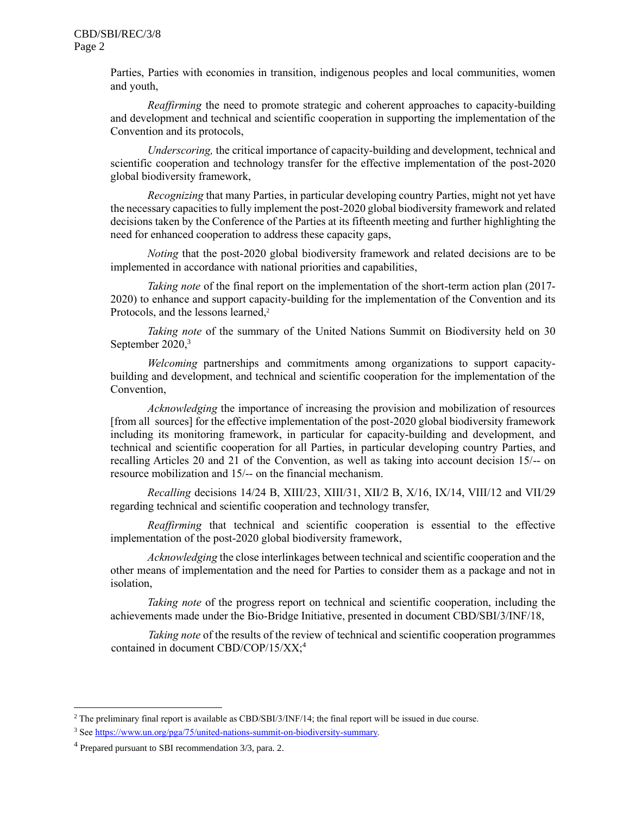Parties, Parties with economies in transition, indigenous peoples and local communities, women and youth,

*Reaffirming* the need to promote strategic and coherent approaches to capacity-building and development and technical and scientific cooperation in supporting the implementation of the Convention and its protocols,

*Underscoring,* the critical importance of capacity-building and development, technical and scientific cooperation and technology transfer for the effective implementation of the post-2020 global biodiversity framework,

*Recognizing* that many Parties, in particular developing country Parties, might not yet have the necessary capacities to fully implement the post-2020 global biodiversity framework and related decisions taken by the Conference of the Parties at its fifteenth meeting and further highlighting the need for enhanced cooperation to address these capacity gaps,

*Noting* that the post-2020 global biodiversity framework and related decisions are to be implemented in accordance with national priorities and capabilities,

*Taking note* of the final report on the implementation of the short-term action plan (2017- 2020) to enhance and support capacity-building for the implementation of the Convention and its Protocols, and the lessons learned,<sup>2</sup>

*Taking note* of the summary of the United Nations Summit on Biodiversity held on 30 September  $2020$ <sup>3</sup>

*Welcoming* partnerships and commitments among organizations to support capacitybuilding and development, and technical and scientific cooperation for the implementation of the Convention,

*Acknowledging* the importance of increasing the provision and mobilization of resources [from all sources] for the effective implementation of the post-2020 global biodiversity framework including its monitoring framework, in particular for capacity-building and development, and technical and scientific cooperation for all Parties, in particular developing country Parties, and recalling Articles 20 and 21 of the Convention, as well as taking into account decision 15/-- on resource mobilization and 15/-- on the financial mechanism.

*Recalling* decisions 14/24 B, XIII/23, XIII/31, XII/2 B, X/16, IX/14, VIII/12 and VII/29 regarding technical and scientific cooperation and technology transfer,

*Reaffirming* that technical and scientific cooperation is essential to the effective implementation of the post-2020 global biodiversity framework,

*Acknowledging* the close interlinkages between technical and scientific cooperation and the other means of implementation and the need for Parties to consider them as a package and not in isolation,

*Taking note* of the progress report on technical and scientific cooperation, including the achievements made under the Bio-Bridge Initiative, presented in document CBD/SBI/3/INF/18,

*Taking note* of the results of the review of technical and scientific cooperation programmes contained in document CBD/COP/15/XX;<sup>4</sup>

<sup>2</sup> The preliminary final report is available as CBD/SBI/3/INF/14; the final report will be issued in due course.

<sup>3</sup> Se[e https://www.un.org/pga/75/united-nations-summit-on-biodiversity-summary.](https://www.un.org/pga/75/united-nations-summit-on-biodiversity-summary)

<sup>&</sup>lt;sup>4</sup> Prepared pursuant to SBI recommendation 3/3, para. 2.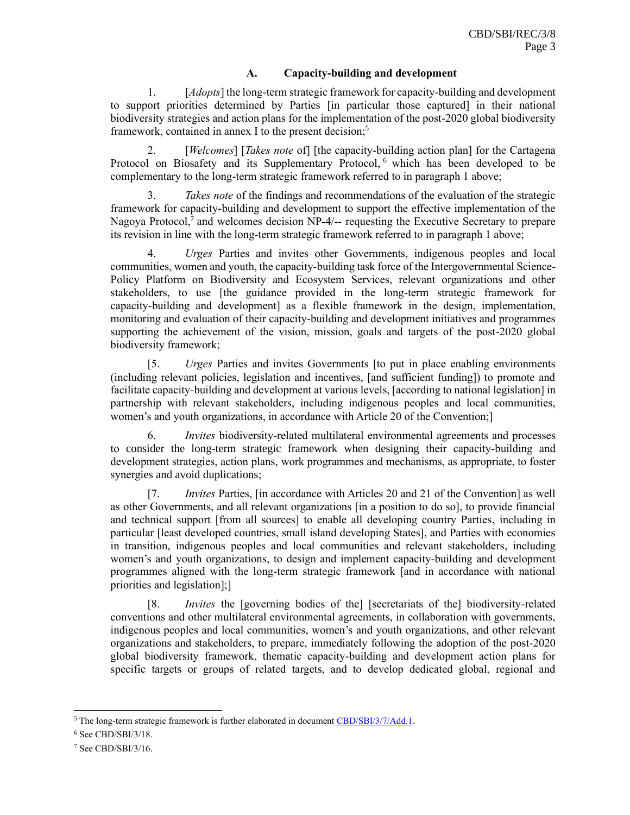## **A. Capacity-building and development**

1. [*Adopts*] the long-term strategic framework for capacity-building and development to support priorities determined by Parties [in particular those captured] in their national biodiversity strategies and action plans for the implementation of the post-2020 global biodiversity framework, contained in annex I to the present decision;<sup>5</sup>

2. [*Welcomes*] [*Takes note* of] [the capacity-building action plan] for the Cartagena Protocol on Biosafety and its Supplementary Protocol, <sup>6</sup> which has been developed to be complementary to the long-term strategic framework referred to in paragraph 1 above;

3. *Takes note* of the findings and recommendations of the evaluation of the strategic framework for capacity-building and development to support the effective implementation of the Nagoya Protocol,<sup>7</sup> and welcomes decision NP-4/-- requesting the Executive Secretary to prepare its revision in line with the long-term strategic framework referred to in paragraph 1 above;

4. *Urges* Parties and invites other Governments, indigenous peoples and local communities, women and youth, the capacity-building task force of the Intergovernmental Science-Policy Platform on Biodiversity and Ecosystem Services, relevant organizations and other stakeholders, to use [the guidance provided in the long-term strategic framework for capacity-building and development] as a flexible framework in the design, implementation, monitoring and evaluation of their capacity-building and development initiatives and programmes supporting the achievement of the vision, mission, goals and targets of the post-2020 global biodiversity framework;

[5. *Urges* Parties and invites Governments [to put in place enabling environments (including relevant policies, legislation and incentives, [and sufficient funding]) to promote and facilitate capacity-building and development at various levels, [according to national legislation] in partnership with relevant stakeholders, including indigenous peoples and local communities, women's and youth organizations, in accordance with Article 20 of the Convention;]

6. *Invites* biodiversity-related multilateral environmental agreements and processes to consider the long-term strategic framework when designing their capacity-building and development strategies, action plans, work programmes and mechanisms, as appropriate, to foster synergies and avoid duplications;

[7. *Invites* Parties, [in accordance with Articles 20 and 21 of the Convention] as well as other Governments, and all relevant organizations [in a position to do so], to provide financial and technical support [from all sources] to enable all developing country Parties, including in particular [least developed countries, small island developing States], and Parties with economies in transition, indigenous peoples and local communities and relevant stakeholders, including women's and youth organizations, to design and implement capacity-building and development programmes aligned with the long-term strategic framework [and in accordance with national priorities and legislation];]

[8. *Invites* the [governing bodies of the] [secretariats of the] biodiversity-related conventions and other multilateral environmental agreements, in collaboration with governments, indigenous peoples and local communities, women's and youth organizations, and other relevant organizations and stakeholders, to prepare, immediately following the adoption of the post-2020 global biodiversity framework, thematic capacity-building and development action plans for specific targets or groups of related targets, and to develop dedicated global, regional and

<sup>&</sup>lt;sup>5</sup> The long-term strategic framework is further elaborated in document [CBD/SBI/3/7/Add.1.](https://www.cbd.int/doc/c/e660/b9bf/9cb474bfb0e1ed9c4fa03cba/sbi-03-07-add1-en.pdf)

 $6$  See CBD/SBI/3/18.

<sup>7</sup> See CBD/SBI/3/16.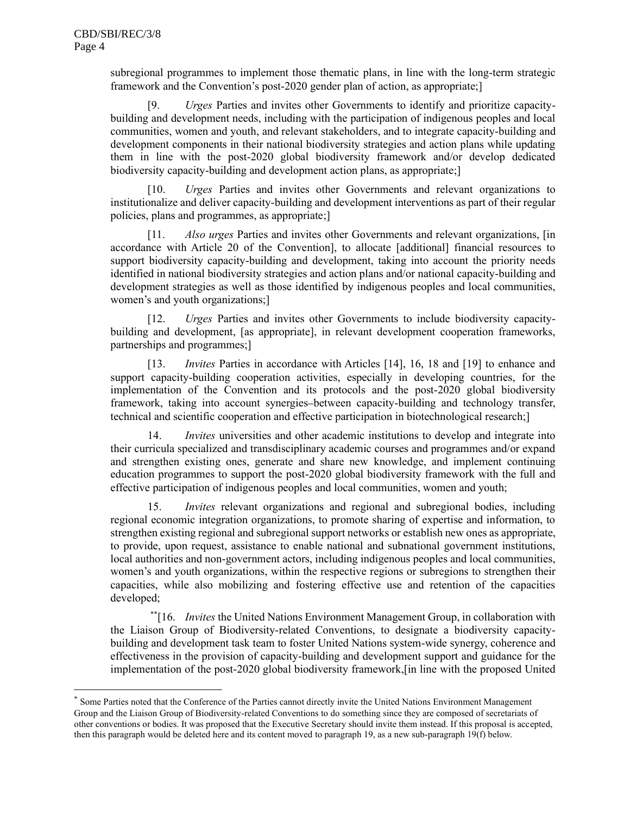subregional programmes to implement those thematic plans, in line with the long-term strategic framework and the Convention's post-2020 gender plan of action, as appropriate;]

[9. *Urges* Parties and invites other Governments to identify and prioritize capacitybuilding and development needs, including with the participation of indigenous peoples and local communities, women and youth, and relevant stakeholders, and to integrate capacity-building and development components in their national biodiversity strategies and action plans while updating them in line with the post-2020 global biodiversity framework and/or develop dedicated biodiversity capacity-building and development action plans, as appropriate;]

[10. *Urges* Parties and invites other Governments and relevant organizations to institutionalize and deliver capacity-building and development interventions as part of their regular policies, plans and programmes, as appropriate;]

[11. *Also urges* Parties and invites other Governments and relevant organizations, [in accordance with Article 20 of the Convention], to allocate [additional] financial resources to support biodiversity capacity-building and development, taking into account the priority needs identified in national biodiversity strategies and action plans and/or national capacity-building and development strategies as well as those identified by indigenous peoples and local communities, women's and youth organizations;]

[12. *Urges* Parties and invites other Governments to include biodiversity capacitybuilding and development, [as appropriate], in relevant development cooperation frameworks, partnerships and programmes;]

[13. *Invites* Parties in accordance with Articles [14], 16, 18 and [19] to enhance and support capacity-building cooperation activities, especially in developing countries, for the implementation of the Convention and its protocols and the post-2020 global biodiversity framework, taking into account synergies between capacity-building and technology transfer, technical and scientific cooperation and effective participation in biotechnological research;]

14. *Invites* universities and other academic institutions to develop and integrate into their curricula specialized and transdisciplinary academic courses and programmes and/or expand and strengthen existing ones, generate and share new knowledge, and implement continuing education programmes to support the post-2020 global biodiversity framework with the full and effective participation of indigenous peoples and local communities, women and youth;

15. *Invites* relevant organizations and regional and subregional bodies, including regional economic integration organizations, to promote sharing of expertise and information, to strengthen existing regional and subregional support networks or establish new ones as appropriate, to provide, upon request, assistance to enable national and subnational government institutions, local authorities and non-government actors, including indigenous peoples and local communities, women's and youth organizations, within the respective regions or subregions to strengthen their capacities, while also mobilizing and fostering effective use and retention of the capacities developed;

\*\* [16. *Invites* the United Nations Environment Management Group, in collaboration with the Liaison Group of Biodiversity-related Conventions, to designate a biodiversity capacitybuilding and development task team to foster United Nations system-wide synergy, coherence and effectiveness in the provision of capacity-building and development support and guidance for the implementation of the post-2020 global biodiversity framework,[in line with the proposed United

<sup>\*</sup> Some Parties noted that the Conference of the Parties cannot directly invite the United Nations Environment Management Group and the Liaison Group of Biodiversity-related Conventions to do something since they are composed of secretariats of other conventions or bodies. It was proposed that the Executive Secretary should invite them instead. If this proposal is accepted, then this paragraph would be deleted here and its content moved to paragraph 19, as a new sub-paragraph 19(f) below.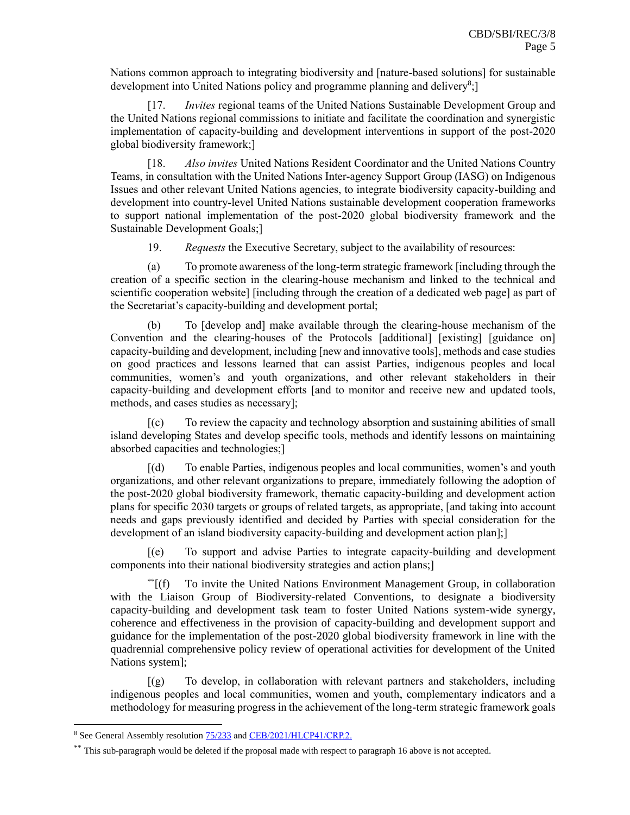Nations common approach to integrating biodiversity and [nature-based solutions] for sustainable development into United Nations policy and programme planning and delivery<sup>8</sup>;]

[17. *Invites* regional teams of the United Nations Sustainable Development Group and the United Nations regional commissions to initiate and facilitate the coordination and synergistic implementation of capacity-building and development interventions in support of the post-2020 global biodiversity framework;]

[18. *Also invites* United Nations Resident Coordinator and the United Nations Country Teams, in consultation with the United Nations Inter-agency Support Group (IASG) on Indigenous Issues and other relevant United Nations agencies, to integrate biodiversity capacity-building and development into country-level United Nations sustainable development cooperation frameworks to support national implementation of the post-2020 global biodiversity framework and the Sustainable Development Goals;]

19. *Requests* the Executive Secretary, subject to the availability of resources:

(a) To promote awareness of the long-term strategic framework [including through the creation of a specific section in the clearing-house mechanism and linked to the technical and scientific cooperation website] [including through the creation of a dedicated web page] as part of the Secretariat's capacity-building and development portal;

(b) To [develop and] make available through the clearing-house mechanism of the Convention and the clearing-houses of the Protocols [additional] [existing] [guidance on] capacity-building and development, including [new and innovative tools], methods and case studies on good practices and lessons learned that can assist Parties, indigenous peoples and local communities, women's and youth organizations, and other relevant stakeholders in their capacity-building and development efforts [and to monitor and receive new and updated tools, methods, and cases studies as necessary];

[(c) To review the capacity and technology absorption and sustaining abilities of small island developing States and develop specific tools, methods and identify lessons on maintaining absorbed capacities and technologies;]

[(d) To enable Parties, indigenous peoples and local communities, women's and youth organizations, and other relevant organizations to prepare, immediately following the adoption of the post-2020 global biodiversity framework, thematic capacity-building and development action plans for specific 2030 targets or groups of related targets, as appropriate, [and taking into account needs and gaps previously identified and decided by Parties with special consideration for the development of an island biodiversity capacity-building and development action plan];]

[(e) To support and advise Parties to integrate capacity-building and development components into their national biodiversity strategies and action plans;]

\*\*[(f) To invite the United Nations Environment Management Group, in collaboration with the Liaison Group of Biodiversity-related Conventions, to designate a biodiversity capacity-building and development task team to foster United Nations system-wide synergy, coherence and effectiveness in the provision of capacity-building and development support and guidance for the implementation of the post-2020 global biodiversity framework in line with the quadrennial comprehensive policy review of operational activities for development of the United Nations system];

[(g) To develop, in collaboration with relevant partners and stakeholders, including indigenous peoples and local communities, women and youth, complementary indicators and a methodology for measuring progress in the achievement of the long-term strategic framework goals

<sup>8</sup> See General Assembly resolutio[n 75/233](https://undocs.org/en/A/RES/75/233) an[d CEB/2021/HLCP41/CRP.2.](https://unemg.org/wp-content/uploads/2021/04/HLCP41-CRP.2-A-common-approach-to-integrating-biodiversity-and-nature-based-solutions_Rev-12-Apr-2021.pdf)

<sup>\*\*</sup> This sub-paragraph would be deleted if the proposal made with respect to paragraph 16 above is not accepted.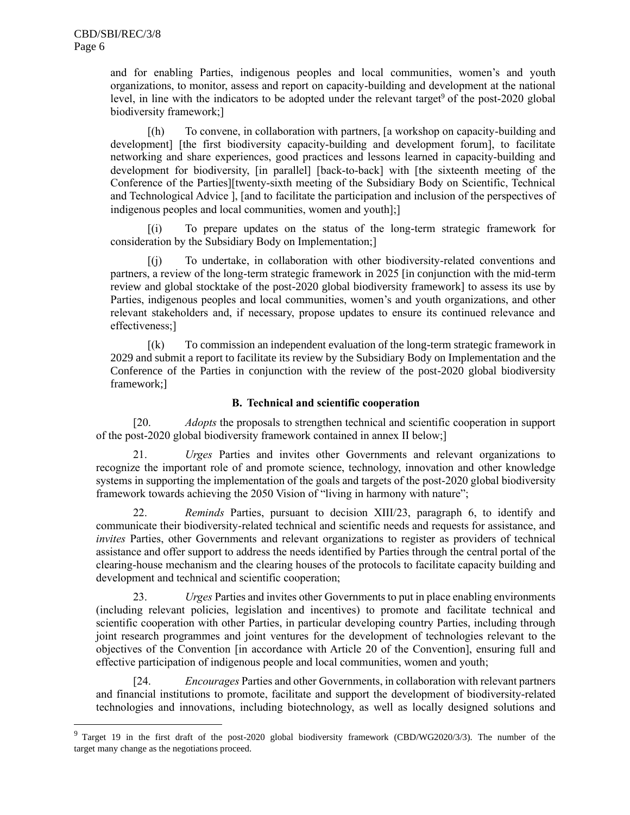and for enabling Parties, indigenous peoples and local communities, women's and youth organizations, to monitor, assess and report on capacity-building and development at the national level, in line with the indicators to be adopted under the relevant target<sup>9</sup> of the post-2020 global biodiversity framework;]

[(h) To convene, in collaboration with partners, [a workshop on capacity-building and development] [the first biodiversity capacity-building and development forum], to facilitate networking and share experiences, good practices and lessons learned in capacity-building and development for biodiversity, [in parallel] [back-to-back] with [the sixteenth meeting of the Conference of the Parties][twenty-sixth meeting of the Subsidiary Body on Scientific, Technical and Technological Advice ], [and to facilitate the participation and inclusion of the perspectives of indigenous peoples and local communities, women and youth];]

[(i) To prepare updates on the status of the long-term strategic framework for consideration by the Subsidiary Body on Implementation;]

[(j) To undertake, in collaboration with other biodiversity-related conventions and partners, a review of the long-term strategic framework in 2025 [in conjunction with the mid-term review and global stocktake of the post-2020 global biodiversity framework] to assess its use by Parties, indigenous peoples and local communities, women's and youth organizations, and other relevant stakeholders and, if necessary, propose updates to ensure its continued relevance and effectiveness;]

[(k) To commission an independent evaluation of the long-term strategic framework in 2029 and submit a report to facilitate its review by the Subsidiary Body on Implementation and the Conference of the Parties in conjunction with the review of the post-2020 global biodiversity framework;]

#### **B. Technical and scientific cooperation**

[20. *Adopts* the proposals to strengthen technical and scientific cooperation in support of the post-2020 global biodiversity framework contained in annex II below;]

21. *Urges* Parties and invites other Governments and relevant organizations to recognize the important role of and promote science, technology, innovation and other knowledge systems in supporting the implementation of the goals and targets of the post-2020 global biodiversity framework towards achieving the 2050 Vision of "living in harmony with nature";

22. *Reminds* Parties, pursuant to decision XIII/23, paragraph 6, to identify and communicate their biodiversity-related technical and scientific needs and requests for assistance, and *invites* Parties, other Governments and relevant organizations to register as providers of technical assistance and offer support to address the needs identified by Parties through the central portal of the clearing-house mechanism and the clearing houses of the protocols to facilitate capacity building and development and technical and scientific cooperation;

23. *Urges* Parties and invites other Governments to put in place enabling environments (including relevant policies, legislation and incentives) to promote and facilitate technical and scientific cooperation with other Parties, in particular developing country Parties, including through joint research programmes and joint ventures for the development of technologies relevant to the objectives of the Convention [in accordance with Article 20 of the Convention], ensuring full and effective participation of indigenous people and local communities, women and youth;

[24. *Encourages* Parties and other Governments, in collaboration with relevant partners and financial institutions to promote, facilitate and support the development of biodiversity-related technologies and innovations, including biotechnology, as well as locally designed solutions and

 $9$  Target 19 in the first draft of the post-2020 global biodiversity framework (CBD/WG2020/3/3). The number of the target many change as the negotiations proceed.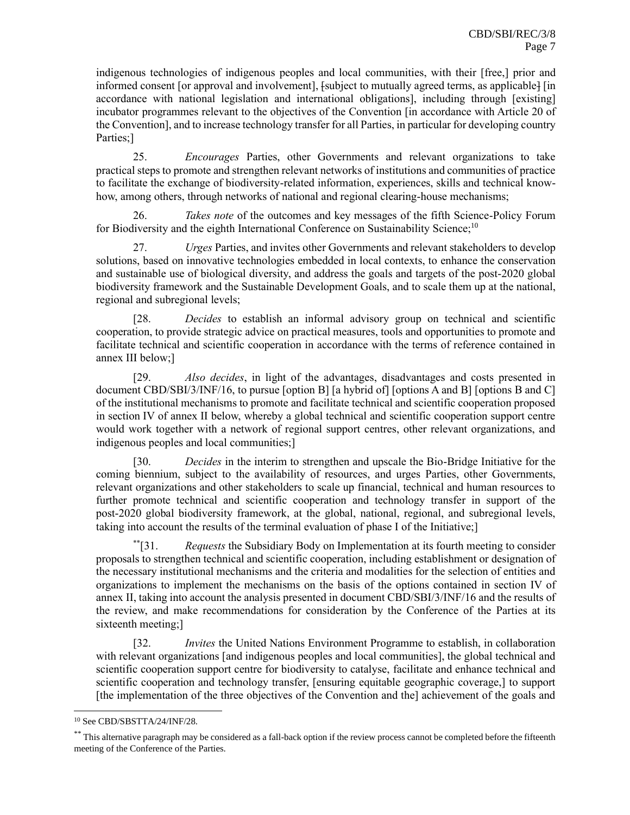indigenous technologies of indigenous peoples and local communities, with their [free,] prior and informed consent [or approval and involvement],  $f_{subject}$  to mutually agreed terms, as applicable [in accordance with national legislation and international obligations], including through [existing] incubator programmes relevant to the objectives of the Convention [in accordance with Article 20 of the Convention], and to increase technology transfer for all Parties, in particular for developing country Parties;]

25. *Encourages* Parties, other Governments and relevant organizations to take practical steps to promote and strengthen relevant networks of institutions and communities of practice to facilitate the exchange of biodiversity-related information, experiences, skills and technical knowhow, among others, through networks of national and regional clearing-house mechanisms;

26. *Takes note* of the outcomes and key messages of the fifth Science-Policy Forum for Biodiversity and the eighth International Conference on Sustainability Science;<sup>10</sup>

27. *Urges* Parties, and invites other Governments and relevant stakeholders to develop solutions, based on innovative technologies embedded in local contexts, to enhance the conservation and sustainable use of biological diversity, and address the goals and targets of the post-2020 global biodiversity framework and the Sustainable Development Goals, and to scale them up at the national, regional and subregional levels;

[28. *Decides* to establish an informal advisory group on technical and scientific cooperation, to provide strategic advice on practical measures, tools and opportunities to promote and facilitate technical and scientific cooperation in accordance with the terms of reference contained in annex III below;]

[29. *Also decides*, in light of the advantages, disadvantages and costs presented in document CBD/SBI/3/INF/16, to pursue [option B] [a hybrid of] [options A and B] [options B and C] of the institutional mechanisms to promote and facilitate technical and scientific cooperation proposed in section IV of annex II below, whereby a global technical and scientific cooperation support centre would work together with a network of regional support centres, other relevant organizations, and indigenous peoples and local communities;]

[30. *Decides* in the interim to strengthen and upscale the Bio-Bridge Initiative for the coming biennium, subject to the availability of resources, and urges Parties, other Governments, relevant organizations and other stakeholders to scale up financial, technical and human resources to further promote technical and scientific cooperation and technology transfer in support of the post-2020 global biodiversity framework, at the global, national, regional, and subregional levels, taking into account the results of the terminal evaluation of phase I of the Initiative;]

\*\*[31. *Requests* the Subsidiary Body on Implementation at its fourth meeting to consider proposals to strengthen technical and scientific cooperation, including establishment or designation of the necessary institutional mechanisms and the criteria and modalities for the selection of entities and organizations to implement the mechanisms on the basis of the options contained in section IV of annex II, taking into account the analysis presented in document CBD/SBI/3/INF/16 and the results of the review, and make recommendations for consideration by the Conference of the Parties at its sixteenth meeting;]

[32. *Invites* the United Nations Environment Programme to establish, in collaboration with relevant organizations [and indigenous peoples and local communities], the global technical and scientific cooperation support centre for biodiversity to catalyse, facilitate and enhance technical and scientific cooperation and technology transfer, [ensuring equitable geographic coverage,] to support [the implementation of the three objectives of the Convention and the] achievement of the goals and

<sup>10</sup> See CBD/SBSTTA/24/INF/28.

<sup>\*\*</sup> This alternative paragraph may be considered as a fall-back option if the review process cannot be completed before the fifteenth meeting of the Conference of the Parties.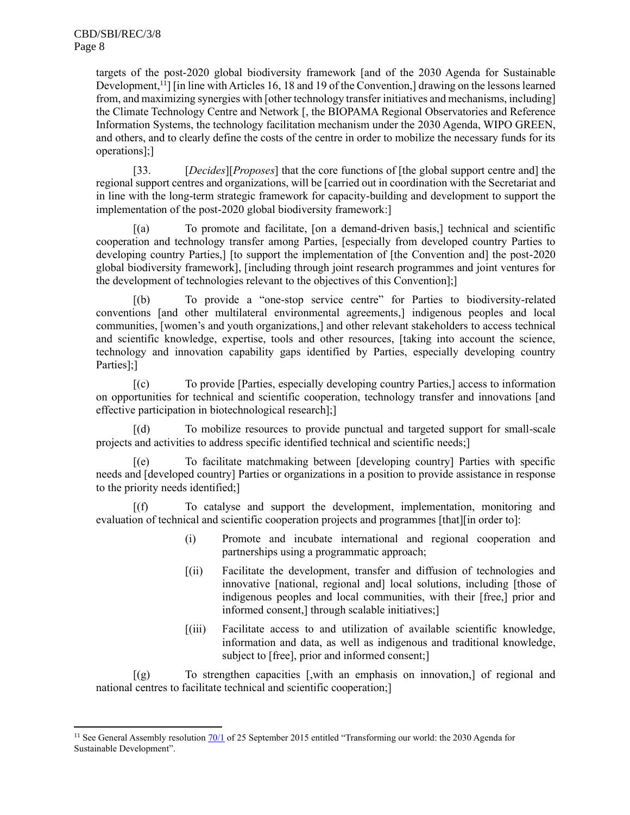targets of the post-2020 global biodiversity framework [and of the 2030 Agenda for Sustainable Development,<sup>11</sup>] [in line with Articles 16, 18 and 19 of the Convention,] drawing on the lessons learned from, and maximizing synergies with [other technology transfer initiatives and mechanisms, including] the Climate Technology Centre and Network [, the BIOPAMA Regional Observatories and Reference Information Systems, the technology facilitation mechanism under the 2030 Agenda, WIPO GREEN, and others, and to clearly define the costs of the centre in order to mobilize the necessary funds for its operations];]

[33. [*Decides*][*Proposes*] that the core functions of [the global support centre and] the regional support centres and organizations, will be [carried out in coordination with the Secretariat and in line with the long-term strategic framework for capacity-building and development to support the implementation of the post-2020 global biodiversity framework:]

[(a) To promote and facilitate, [on a demand-driven basis,] technical and scientific cooperation and technology transfer among Parties, [especially from developed country Parties to developing country Parties,] [to support the implementation of [the Convention and] the post-2020 global biodiversity framework], [including through joint research programmes and joint ventures for the development of technologies relevant to the objectives of this Convention];]

[(b) To provide a "one-stop service centre" for Parties to biodiversity-related conventions [and other multilateral environmental agreements,] indigenous peoples and local communities, [women's and youth organizations,] and other relevant stakeholders to access technical and scientific knowledge, expertise, tools and other resources, [taking into account the science, technology and innovation capability gaps identified by Parties, especially developing country Parties];]

[(c) To provide [Parties, especially developing country Parties,] access to information on opportunities for technical and scientific cooperation, technology transfer and innovations [and effective participation in biotechnological research];]

[(d) To mobilize resources to provide punctual and targeted support for small-scale projects and activities to address specific identified technical and scientific needs;]

[(e) To facilitate matchmaking between [developing country] Parties with specific needs and [developed country] Parties or organizations in a position to provide assistance in response to the priority needs identified;]

[(f) To catalyse and support the development, implementation, monitoring and evaluation of technical and scientific cooperation projects and programmes [that][in order to]:

- (i) Promote and incubate international and regional cooperation and partnerships using a programmatic approach;
- [(ii) Facilitate the development, transfer and diffusion of technologies and innovative [national, regional and] local solutions, including [those of indigenous peoples and local communities, with their [free,] prior and informed consent,] through scalable initiatives;]
- [(iii) Facilitate access to and utilization of available scientific knowledge, information and data, as well as indigenous and traditional knowledge, subject to [free], prior and informed consent;]

[(g) To strengthen capacities [,with an emphasis on innovation,] of regional and national centres to facilitate technical and scientific cooperation;]

<sup>&</sup>lt;sup>11</sup> See General Assembly resolutio[n 70/1](https://documents-dds-ny.un.org/doc/UNDOC/GEN/N15/291/89/pdf/N1529189.pdf?OpenElement) of 25 September 2015 entitled "Transforming our world: the 2030 Agenda for Sustainable Development".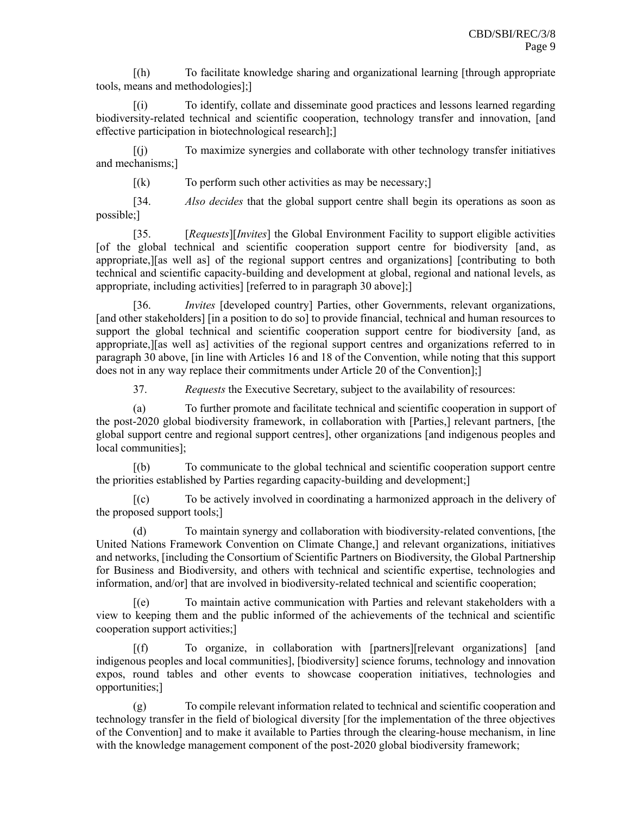[(h) To facilitate knowledge sharing and organizational learning [through appropriate tools, means and methodologies];]

[(i) To identify, collate and disseminate good practices and lessons learned regarding biodiversity-related technical and scientific cooperation, technology transfer and innovation, [and effective participation in biotechnological research];]

[(j) To maximize synergies and collaborate with other technology transfer initiatives and mechanisms;]

 $[(k]$  To perform such other activities as may be necessary;

[34. *Also decides* that the global support centre shall begin its operations as soon as possible;]

[35. [*Requests*][*Invites*] the Global Environment Facility to support eligible activities [of the global technical and scientific cooperation support centre for biodiversity [and, as appropriate,][as well as] of the regional support centres and organizations] [contributing to both technical and scientific capacity-building and development at global, regional and national levels, as appropriate, including activities] [referred to in paragraph 30 above];]

[36. *Invites* [developed country] Parties, other Governments, relevant organizations, [and other stakeholders] [in a position to do so] to provide financial, technical and human resources to support the global technical and scientific cooperation support centre for biodiversity [and, as appropriate,][as well as] activities of the regional support centres and organizations referred to in paragraph 30 above, [in line with Articles 16 and 18 of the Convention, while noting that this support does not in any way replace their commitments under Article 20 of the Convention];]

37. *Requests* the Executive Secretary, subject to the availability of resources:

(a) To further promote and facilitate technical and scientific cooperation in support of the post-2020 global biodiversity framework, in collaboration with [Parties,] relevant partners, [the global support centre and regional support centres], other organizations [and indigenous peoples and local communities];

[(b) To communicate to the global technical and scientific cooperation support centre the priorities established by Parties regarding capacity-building and development;]

[(c) To be actively involved in coordinating a harmonized approach in the delivery of the proposed support tools;]

(d) To maintain synergy and collaboration with biodiversity-related conventions, [the United Nations Framework Convention on Climate Change,] and relevant organizations, initiatives and networks, [including the Consortium of Scientific Partners on Biodiversity, the Global Partnership for Business and Biodiversity, and others with technical and scientific expertise, technologies and information, and/or] that are involved in biodiversity-related technical and scientific cooperation;

[(e) To maintain active communication with Parties and relevant stakeholders with a view to keeping them and the public informed of the achievements of the technical and scientific cooperation support activities;]

To organize, in collaboration with [partners][relevant organizations] [and indigenous peoples and local communities], [biodiversity] science forums, technology and innovation expos, round tables and other events to showcase cooperation initiatives, technologies and opportunities;]

(g) To compile relevant information related to technical and scientific cooperation and technology transfer in the field of biological diversity [for the implementation of the three objectives of the Convention] and to make it available to Parties through the clearing-house mechanism, in line with the knowledge management component of the post-2020 global biodiversity framework;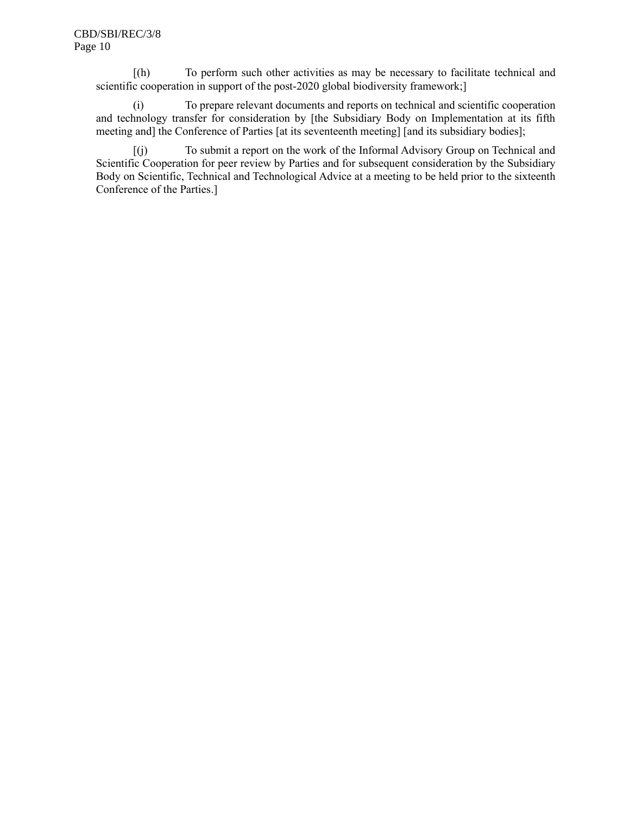[(h) To perform such other activities as may be necessary to facilitate technical and scientific cooperation in support of the post-2020 global biodiversity framework;]

(i) To prepare relevant documents and reports on technical and scientific cooperation and technology transfer for consideration by [the Subsidiary Body on Implementation at its fifth meeting and] the Conference of Parties [at its seventeenth meeting] [and its subsidiary bodies];

[(j) To submit a report on the work of the Informal Advisory Group on Technical and Scientific Cooperation for peer review by Parties and for subsequent consideration by the Subsidiary Body on Scientific, Technical and Technological Advice at a meeting to be held prior to the sixteenth Conference of the Parties.]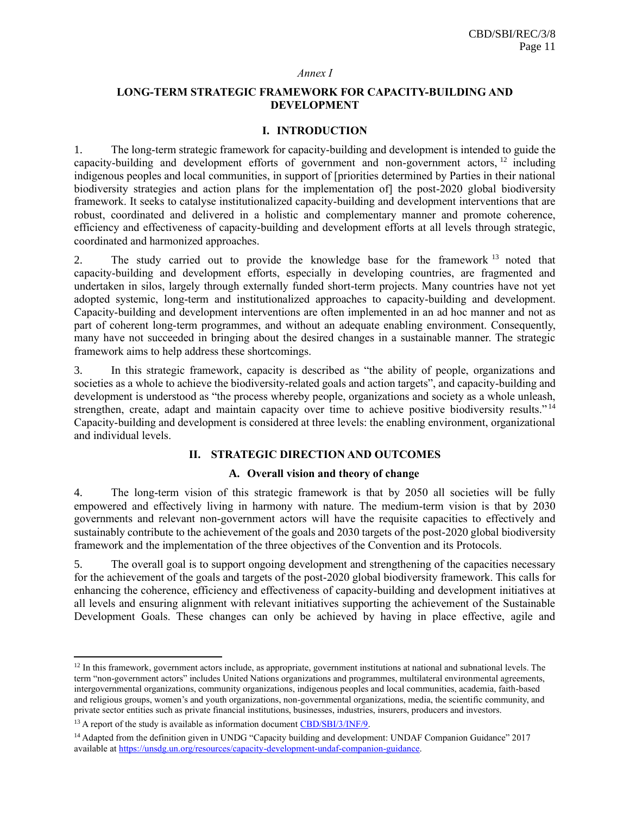#### *Annex I*

#### **LONG-TERM STRATEGIC FRAMEWORK FOR CAPACITY-BUILDING AND DEVELOPMENT**

#### **I. INTRODUCTION**

1. The long-term strategic framework for capacity-building and development is intended to guide the capacity-building and development efforts of government and non-government actors, <sup>12</sup> including indigenous peoples and local communities, in support of [priorities determined by Parties in their national biodiversity strategies and action plans for the implementation of the post-2020 global biodiversity framework. It seeks to catalyse institutionalized capacity-building and development interventions that are robust, coordinated and delivered in a holistic and complementary manner and promote coherence, efficiency and effectiveness of capacity-building and development efforts at all levels through strategic, coordinated and harmonized approaches.

2. The study carried out to provide the knowledge base for the framework <sup>13</sup> noted that capacity-building and development efforts, especially in developing countries, are fragmented and undertaken in silos, largely through externally funded short-term projects. Many countries have not yet adopted systemic, long-term and institutionalized approaches to capacity-building and development. Capacity-building and development interventions are often implemented in an ad hoc manner and not as part of coherent long-term programmes, and without an adequate enabling environment. Consequently, many have not succeeded in bringing about the desired changes in a sustainable manner. The strategic framework aims to help address these shortcomings.

3. In this strategic framework, capacity is described as "the ability of people, organizations and societies as a whole to achieve the biodiversity-related goals and action targets", and capacity-building and development is understood as "the process whereby people, organizations and society as a whole unleash, strengthen, create, adapt and maintain capacity over time to achieve positive biodiversity results."<sup>14</sup> Capacity-building and development is considered at three levels: the enabling environment, organizational and individual levels.

#### **II. STRATEGIC DIRECTION AND OUTCOMES**

#### **A. Overall vision and theory of change**

4. The long-term vision of this strategic framework is that by 2050 all societies will be fully empowered and effectively living in harmony with nature. The medium-term vision is that by 2030 governments and relevant non-government actors will have the requisite capacities to effectively and sustainably contribute to the achievement of the goals and 2030 targets of the post-2020 global biodiversity framework and the implementation of the three objectives of the Convention and its Protocols.

5. The overall goal is to support ongoing development and strengthening of the capacities necessary for the achievement of the goals and targets of the post-2020 global biodiversity framework. This calls for enhancing the coherence, efficiency and effectiveness of capacity-building and development initiatives at all levels and ensuring alignment with relevant initiatives supporting the achievement of the Sustainable Development Goals. These changes can only be achieved by having in place effective, agile and

<sup>&</sup>lt;sup>12</sup> In this framework, government actors include, as appropriate, government institutions at national and subnational levels. The term "non-government actors" includes United Nations organizations and programmes, multilateral environmental agreements, intergovernmental organizations, community organizations, indigenous peoples and local communities, academia, faith-based and religious groups, women's and youth organizations, non-governmental organizations, media, the scientific community, and private sector entities such as private financial institutions, businesses, industries, insurers, producers and investors.

<sup>&</sup>lt;sup>13</sup> A report of the study is available as information documen[t CBD/SBI/3/INF/9.](https://www.cbd.int/doc/c/0ab8/2d14/07d2c32c7c92ee730c6e3e58/sbi-03-inf-09-en.pdf)

<sup>&</sup>lt;sup>14</sup> Adapted from the definition given in UNDG "Capacity building and development: UNDAF Companion Guidance" 2017 available a[t https://unsdg.un.org/resources/capacity-development-undaf-companion-guidance.](https://unsdg.un.org/resources/capacity-development-undaf-companion-guidance)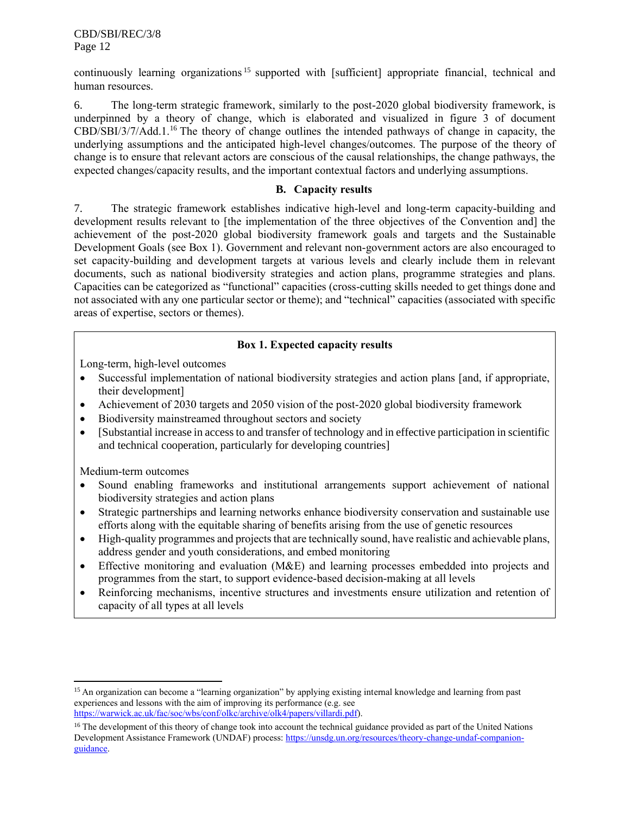CBD/SBI/REC/3/8 Page 12

continuously learning organizations<sup>15</sup> supported with [sufficient] appropriate financial, technical and human resources.

6. The long-term strategic framework, similarly to the post-2020 global biodiversity framework, is underpinned by a theory of change, which is elaborated and visualized in figure 3 of document CBD/SBI/3/7/Add.1.<sup>16</sup> The theory of change outlines the intended pathways of change in capacity, the underlying assumptions and the anticipated high-level changes/outcomes. The purpose of the theory of change is to ensure that relevant actors are conscious of the causal relationships, the change pathways, the expected changes/capacity results, and the important contextual factors and underlying assumptions.

#### **B. Capacity results**

7. The strategic framework establishes indicative high-level and long-term capacity-building and development results relevant to [the implementation of the three objectives of the Convention and] the achievement of the post-2020 global biodiversity framework goals and targets and the Sustainable Development Goals (see Box 1). Government and relevant non-government actors are also encouraged to set capacity-building and development targets at various levels and clearly include them in relevant documents, such as national biodiversity strategies and action plans, programme strategies and plans. Capacities can be categorized as "functional" capacities (cross-cutting skills needed to get things done and not associated with any one particular sector or theme); and "technical" capacities (associated with specific areas of expertise, sectors or themes).

# **Box 1. Expected capacity results**

Long-term, high-level outcomes

- Successful implementation of national biodiversity strategies and action plans [and, if appropriate, their development]
- Achievement of 2030 targets and 2050 vision of the post-2020 global biodiversity framework
- Biodiversity mainstreamed throughout sectors and society
- [Substantial increase in access to and transfer of technology and in effective participation in scientific and technical cooperation, particularly for developing countries]

Medium-term outcomes

- Sound enabling frameworks and institutional arrangements support achievement of national biodiversity strategies and action plans
- Strategic partnerships and learning networks enhance biodiversity conservation and sustainable use efforts along with the equitable sharing of benefits arising from the use of genetic resources
- High-quality programmes and projects that are technically sound, have realistic and achievable plans, address gender and youth considerations, and embed monitoring
- Effective monitoring and evaluation (M&E) and learning processes embedded into projects and programmes from the start, to support evidence-based decision-making at all levels
- Reinforcing mechanisms, incentive structures and investments ensure utilization and retention of capacity of all types at all levels

<sup>&</sup>lt;sup>15</sup> An organization can become a "learning organization" by applying existing internal knowledge and learning from past experiences and lessons with the aim of improving its performance (e.g. see [https://warwick.ac.uk/fac/soc/wbs/conf/olkc/archive/olk4/papers/villardi.pdf\)](https://warwick.ac.uk/fac/soc/wbs/conf/olkc/archive/olk4/papers/villardi.pdf).

<sup>&</sup>lt;sup>16</sup> The development of this theory of change took into account the technical guidance provided as part of the United Nations Development Assistance Framework (UNDAF) process[: https://unsdg.un.org/resources/theory-change-undaf-companion](https://unsdg.un.org/resources/theory-change-undaf-companion-guidance)[guidance.](https://unsdg.un.org/resources/theory-change-undaf-companion-guidance)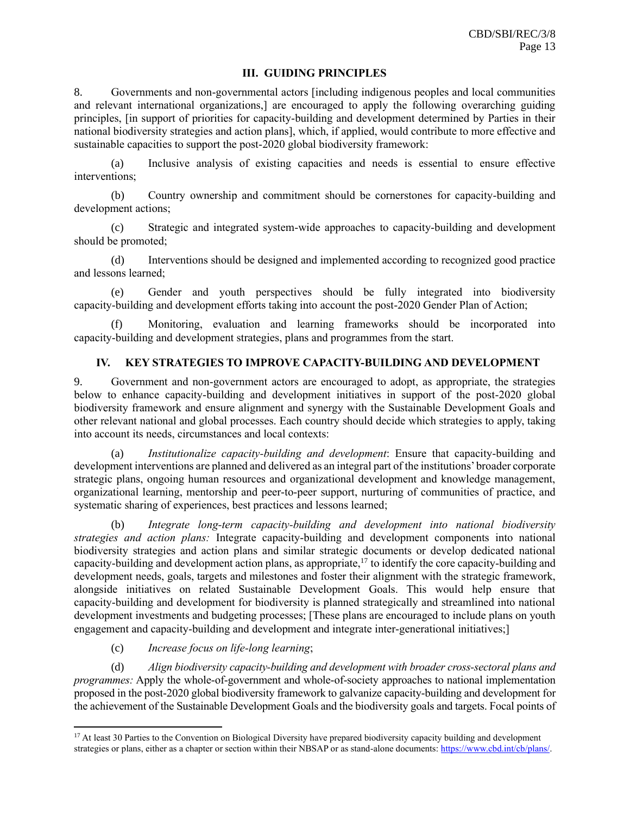#### **III. GUIDING PRINCIPLES**

8. Governments and non-governmental actors [including indigenous peoples and local communities and relevant international organizations,] are encouraged to apply the following overarching guiding principles, [in support of priorities for capacity-building and development determined by Parties in their national biodiversity strategies and action plans], which, if applied, would contribute to more effective and sustainable capacities to support the post-2020 global biodiversity framework:

(a) Inclusive analysis of existing capacities and needs is essential to ensure effective interventions;

(b) Country ownership and commitment should be cornerstones for capacity-building and development actions;

(c) Strategic and integrated system-wide approaches to capacity-building and development should be promoted;

(d) Interventions should be designed and implemented according to recognized good practice and lessons learned;

(e) Gender and youth perspectives should be fully integrated into biodiversity capacity-building and development efforts taking into account the post-2020 Gender Plan of Action;

(f) Monitoring, evaluation and learning frameworks should be incorporated into capacity-building and development strategies, plans and programmes from the start.

## **IV. KEY STRATEGIES TO IMPROVE CAPACITY-BUILDING AND DEVELOPMENT**

9. Government and non-government actors are encouraged to adopt, as appropriate, the strategies below to enhance capacity-building and development initiatives in support of the post-2020 global biodiversity framework and ensure alignment and synergy with the Sustainable Development Goals and other relevant national and global processes. Each country should decide which strategies to apply, taking into account its needs, circumstances and local contexts:

(a) *Institutionalize capacity-building and development*: Ensure that capacity-building and development interventions are planned and delivered as an integral part of the institutions' broader corporate strategic plans, ongoing human resources and organizational development and knowledge management, organizational learning, mentorship and peer-to-peer support, nurturing of communities of practice, and systematic sharing of experiences, best practices and lessons learned;

(b) *Integrate long-term capacity-building and development into national biodiversity strategies and action plans:* Integrate capacity-building and development components into national biodiversity strategies and action plans and similar strategic documents or develop dedicated national capacity-building and development action plans, as appropriate, $17$  to identify the core capacity-building and development needs, goals, targets and milestones and foster their alignment with the strategic framework, alongside initiatives on related Sustainable Development Goals. This would help ensure that capacity-building and development for biodiversity is planned strategically and streamlined into national development investments and budgeting processes; [These plans are encouraged to include plans on youth engagement and capacity-building and development and integrate inter-generational initiatives;]

## (c) *Increase focus on life-long learning*;

(d) *Align biodiversity capacity-building and development with broader cross-sectoral plans and programmes:* Apply the whole-of-government and whole-of-society approaches to national implementation proposed in the post-2020 global biodiversity framework to galvanize capacity-building and development for the achievement of the Sustainable Development Goals and the biodiversity goals and targets. Focal points of

<sup>&</sup>lt;sup>17</sup> At least 30 Parties to the Convention on Biological Diversity have prepared biodiversity capacity building and development strategies or plans, either as a chapter or section within their NBSAP or as stand-alone documents[: https://www.cbd.int/cb/plans/.](https://www.cbd.int/cb/plans/)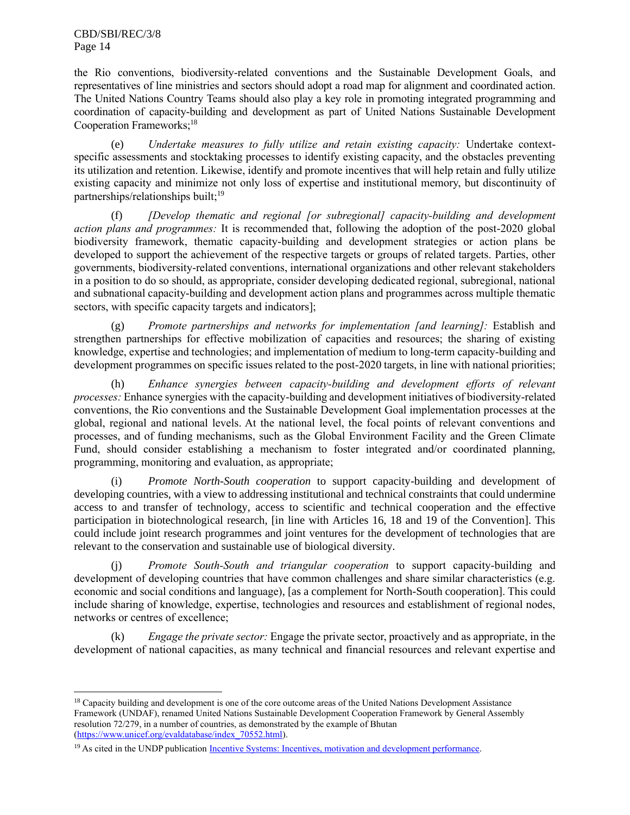CBD/SBI/REC/3/8 Page 14

the Rio conventions, biodiversity-related conventions and the Sustainable Development Goals, and representatives of line ministries and sectors should adopt a road map for alignment and coordinated action. The United Nations Country Teams should also play a key role in promoting integrated programming and coordination of capacity-building and development as part of United Nations Sustainable Development Cooperation Frameworks; 18

(e) *Undertake measures to fully utilize and retain existing capacity:* Undertake contextspecific assessments and stocktaking processes to identify existing capacity, and the obstacles preventing its utilization and retention. Likewise, identify and promote incentives that will help retain and fully utilize existing capacity and minimize not only loss of expertise and institutional memory, but discontinuity of partnerships/relationships built;<sup>19</sup>

(f) *[Develop thematic and regional [or subregional] capacity-building and development action plans and programmes:* It is recommended that, following the adoption of the post-2020 global biodiversity framework, thematic capacity-building and development strategies or action plans be developed to support the achievement of the respective targets or groups of related targets. Parties, other governments, biodiversity-related conventions, international organizations and other relevant stakeholders in a position to do so should, as appropriate, consider developing dedicated regional, subregional, national and subnational capacity-building and development action plans and programmes across multiple thematic sectors, with specific capacity targets and indicators];

(g) *Promote partnerships and networks for implementation [and learning]:* Establish and strengthen partnerships for effective mobilization of capacities and resources; the sharing of existing knowledge, expertise and technologies; and implementation of medium to long-term capacity-building and development programmes on specific issues related to the post-2020 targets, in line with national priorities;

(h) *Enhance synergies between capacity-building and development efforts of relevant processes:* Enhance synergies with the capacity-building and development initiatives of biodiversity-related conventions, the Rio conventions and the Sustainable Development Goal implementation processes at the global, regional and national levels. At the national level, the focal points of relevant conventions and processes, and of funding mechanisms, such as the Global Environment Facility and the Green Climate Fund, should consider establishing a mechanism to foster integrated and/or coordinated planning, programming, monitoring and evaluation, as appropriate;

(i) *Promote North-South cooperation* to support capacity-building and development of developing countries, with a view to addressing institutional and technical constraints that could undermine access to and transfer of technology, access to scientific and technical cooperation and the effective participation in biotechnological research, [in line with Articles 16, 18 and 19 of the Convention]. This could include joint research programmes and joint ventures for the development of technologies that are relevant to the conservation and sustainable use of biological diversity.

(j) *Promote South-South and triangular cooperation* to support capacity-building and development of developing countries that have common challenges and share similar characteristics (e.g. economic and social conditions and language), [as a complement for North-South cooperation]. This could include sharing of knowledge, expertise, technologies and resources and establishment of regional nodes, networks or centres of excellence;

(k) *Engage the private sector:* Engage the private sector, proactively and as appropriate, in the development of national capacities, as many technical and financial resources and relevant expertise and

<sup>&</sup>lt;sup>18</sup> Capacity building and development is one of the core outcome areas of the United Nations Development Assistance Framework (UNDAF), renamed United Nations Sustainable Development Cooperation Framework by General Assembly resolution 72/279, in a number of countries, as demonstrated by the example of Bhutan [\(https://www.unicef.org/evaldatabase/index\\_70552.html\)](https://www.unicef.org/evaldatabase/index_70552.html).

<sup>&</sup>lt;sup>19</sup> As cited in the UNDP publicatio[n Incentive Systems: Incentives, motivation and development performance.](https://www.undp.org/content/undp/en/home/librarypage/capacity-building/incentive-systems-incentives-motivation-and-development-performance-.html#:~:text=Incentive%20Systems%3A%20Incentives%2C%20Motivation%2C%20and%20Development%20Performance,-Nov%208%2C%202015&text=It%20is%20possible%20to%20distinguish,environment%22%20of%20any%20given%20system.)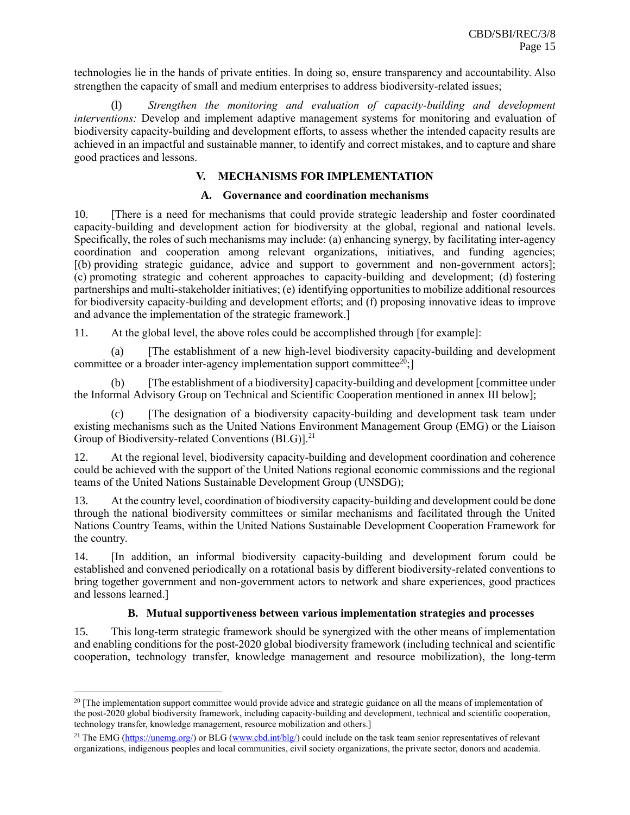technologies lie in the hands of private entities. In doing so, ensure transparency and accountability. Also strengthen the capacity of small and medium enterprises to address biodiversity-related issues;

(l) *Strengthen the monitoring and evaluation of capacity-building and development interventions:* Develop and implement adaptive management systems for monitoring and evaluation of biodiversity capacity-building and development efforts, to assess whether the intended capacity results are achieved in an impactful and sustainable manner, to identify and correct mistakes, and to capture and share good practices and lessons.

## **V. MECHANISMS FOR IMPLEMENTATION**

#### **A. Governance and coordination mechanisms**

10. [There is a need for mechanisms that could provide strategic leadership and foster coordinated capacity-building and development action for biodiversity at the global, regional and national levels. Specifically, the roles of such mechanisms may include: (a) enhancing synergy, by facilitating inter-agency coordination and cooperation among relevant organizations, initiatives, and funding agencies; [(b) providing strategic guidance, advice and support to government and non-government actors]; (c) promoting strategic and coherent approaches to capacity-building and development; (d) fostering partnerships and multi-stakeholder initiatives; (e) identifying opportunities to mobilize additional resources for biodiversity capacity-building and development efforts; and (f) proposing innovative ideas to improve and advance the implementation of the strategic framework.]

11. At the global level, the above roles could be accomplished through [for example]:

(a) [The establishment of a new high-level biodiversity capacity-building and development committee or a broader inter-agency implementation support committee<sup>20</sup>;<sup>1</sup>

(b) [The establishment of a biodiversity] capacity-building and development [committee under the Informal Advisory Group on Technical and Scientific Cooperation mentioned in annex III below];

(c) [The designation of a biodiversity capacity-building and development task team under existing mechanisms such as the United Nations Environment Management Group (EMG) or the Liaison Group of Biodiversity-related Conventions (BLG)].<sup>21</sup>

12. At the regional level, biodiversity capacity-building and development coordination and coherence could be achieved with the support of the United Nations regional economic commissions and the regional teams of the United Nations Sustainable Development Group (UNSDG);

13. At the country level, coordination of biodiversity capacity-building and development could be done through the national biodiversity committees or similar mechanisms and facilitated through the United Nations Country Teams, within the United Nations Sustainable Development Cooperation Framework for the country.

14. [In addition, an informal biodiversity capacity-building and development forum could be established and convened periodically on a rotational basis by different biodiversity-related conventions to bring together government and non-government actors to network and share experiences, good practices and lessons learned.]

#### **B. Mutual supportiveness between various implementation strategies and processes**

15. This long-term strategic framework should be synergized with the other means of implementation and enabling conditions for the post-2020 global biodiversity framework (including technical and scientific cooperation, technology transfer, knowledge management and resource mobilization), the long-term

<sup>&</sup>lt;sup>20</sup> [The implementation support committee would provide advice and strategic guidance on all the means of implementation of the post-2020 global biodiversity framework, including capacity-building and development, technical and scientific cooperation, technology transfer, knowledge management, resource mobilization and others.]

<sup>&</sup>lt;sup>21</sup> The EMG [\(https://unemg.org/\)](https://unemg.org/) or BLG [\(www.cbd.int/blg/\)](http://www.cbd.int/blg/) could include on the task team senior representatives of relevant organizations, indigenous peoples and local communities, civil society organizations, the private sector, donors and academia.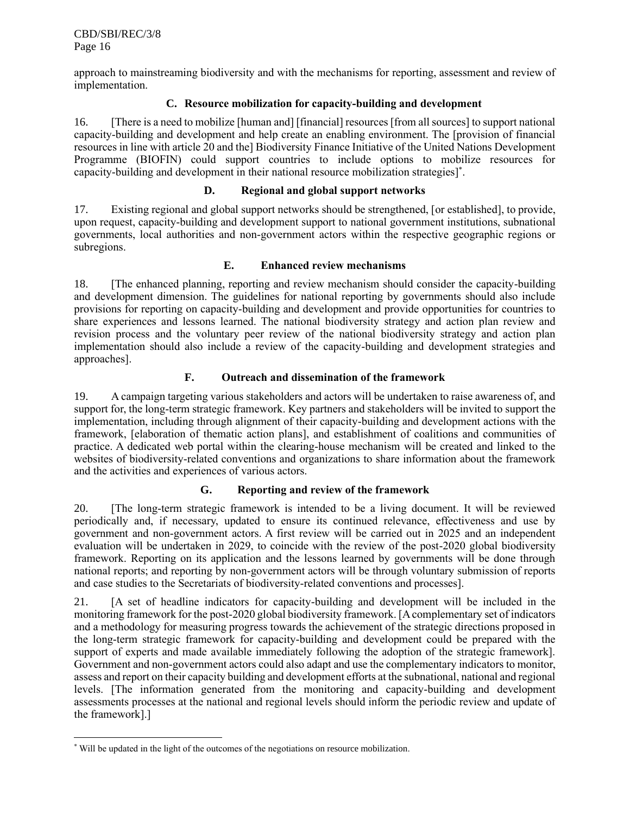approach to mainstreaming biodiversity and with the mechanisms for reporting, assessment and review of implementation.

## **C. Resource mobilization for capacity-building and development**

16. [There is a need to mobilize [human and] [financial] resources [from all sources] to support national capacity-building and development and help create an enabling environment. The [provision of financial resources in line with article 20 and the] Biodiversity Finance Initiative of the United Nations Development Programme (BIOFIN) could support countries to include options to mobilize resources for capacity-building and development in their national resource mobilization strategies]\* .

#### **D. Regional and global support networks**

17. Existing regional and global support networks should be strengthened, [or established], to provide, upon request, capacity-building and development support to national government institutions, subnational governments, local authorities and non-government actors within the respective geographic regions or subregions.

## **E. Enhanced review mechanisms**

18. [The enhanced planning, reporting and review mechanism should consider the capacity-building and development dimension. The guidelines for national reporting by governments should also include provisions for reporting on capacity-building and development and provide opportunities for countries to share experiences and lessons learned. The national biodiversity strategy and action plan review and revision process and the voluntary peer review of the national biodiversity strategy and action plan implementation should also include a review of the capacity-building and development strategies and approaches].

## **F. Outreach and dissemination of the framework**

19. A campaign targeting various stakeholders and actors will be undertaken to raise awareness of, and support for, the long-term strategic framework. Key partners and stakeholders will be invited to support the implementation, including through alignment of their capacity-building and development actions with the framework, [elaboration of thematic action plans], and establishment of coalitions and communities of practice. A dedicated web portal within the clearing-house mechanism will be created and linked to the websites of biodiversity-related conventions and organizations to share information about the framework and the activities and experiences of various actors.

# **G. Reporting and review of the framework**

20. [The long-term strategic framework is intended to be a living document. It will be reviewed periodically and, if necessary, updated to ensure its continued relevance, effectiveness and use by government and non-government actors. A first review will be carried out in 2025 and an independent evaluation will be undertaken in 2029, to coincide with the review of the post-2020 global biodiversity framework. Reporting on its application and the lessons learned by governments will be done through national reports; and reporting by non-government actors will be through voluntary submission of reports and case studies to the Secretariats of biodiversity-related conventions and processes].

21. [A set of headline indicators for capacity-building and development will be included in the monitoring framework for the post-2020 global biodiversity framework. [A complementary set of indicators and a methodology for measuring progress towards the achievement of the strategic directions proposed in the long-term strategic framework for capacity-building and development could be prepared with the support of experts and made available immediately following the adoption of the strategic framework]. Government and non-government actors could also adapt and use the complementary indicators to monitor, assess and report on their capacity building and development efforts at the subnational, national and regional levels. [The information generated from the monitoring and capacity-building and development assessments processes at the national and regional levels should inform the periodic review and update of the framework].]

<sup>\*</sup> Will be updated in the light of the outcomes of the negotiations on resource mobilization.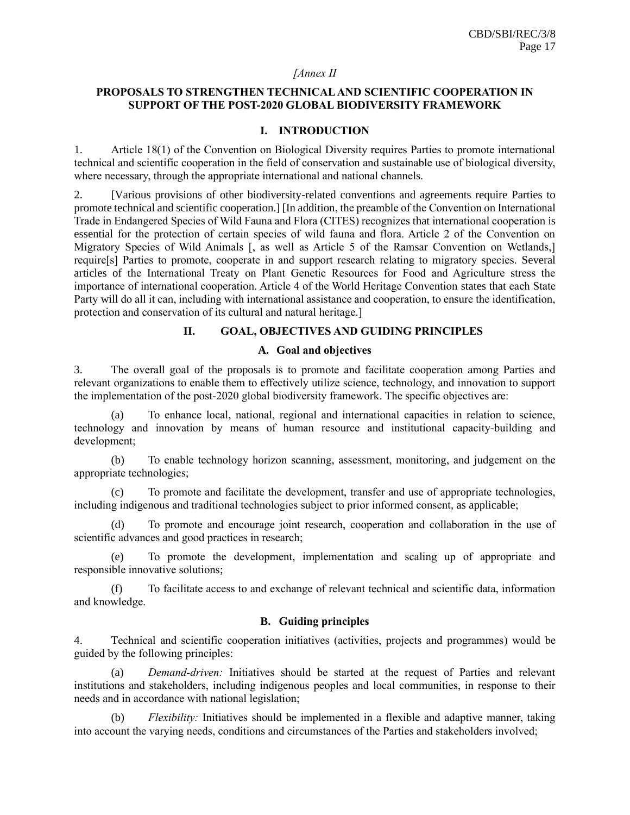#### *[Annex II*

## **PROPOSALS TO STRENGTHEN TECHNICAL AND SCIENTIFIC COOPERATION IN SUPPORT OF THE POST-2020 GLOBAL BIODIVERSITY FRAMEWORK**

## **I. INTRODUCTION**

1. Article 18(1) of the Convention on Biological Diversity requires Parties to promote international technical and scientific cooperation in the field of conservation and sustainable use of biological diversity, where necessary, through the appropriate international and national channels.

2. [Various provisions of other biodiversity-related conventions and agreements require Parties to promote technical and scientific cooperation.] [In addition, the preamble of the Convention on International Trade in Endangered Species of Wild Fauna and Flora (CITES) recognizes that international cooperation is essential for the protection of certain species of wild fauna and flora. Article 2 of the Convention on Migratory Species of Wild Animals [, as well as Article 5 of the Ramsar Convention on Wetlands,] require[s] Parties to promote, cooperate in and support research relating to migratory species. Several articles of the International Treaty on Plant Genetic Resources for Food and Agriculture stress the importance of international cooperation. Article 4 of the World Heritage Convention states that each State Party will do all it can, including with international assistance and cooperation, to ensure the identification, protection and conservation of its cultural and natural heritage.]

## **II. GOAL, OBJECTIVES AND GUIDING PRINCIPLES**

#### **A. Goal and objectives**

3. The overall goal of the proposals is to promote and facilitate cooperation among Parties and relevant organizations to enable them to effectively utilize science, technology, and innovation to support the implementation of the post-2020 global biodiversity framework. The specific objectives are:

(a) To enhance local, national, regional and international capacities in relation to science, technology and innovation by means of human resource and institutional capacity-building and development;

(b) To enable technology horizon scanning, assessment, monitoring, and judgement on the appropriate technologies;

(c) To promote and facilitate the development, transfer and use of appropriate technologies, including indigenous and traditional technologies subject to prior informed consent, as applicable;

(d) To promote and encourage joint research, cooperation and collaboration in the use of scientific advances and good practices in research;

(e) To promote the development, implementation and scaling up of appropriate and responsible innovative solutions;

(f) To facilitate access to and exchange of relevant technical and scientific data, information and knowledge.

#### **B. Guiding principles**

4. Technical and scientific cooperation initiatives (activities, projects and programmes) would be guided by the following principles:

(a) *Demand-driven:* Initiatives should be started at the request of Parties and relevant institutions and stakeholders, including indigenous peoples and local communities, in response to their needs and in accordance with national legislation;

(b) *Flexibility:* Initiatives should be implemented in a flexible and adaptive manner, taking into account the varying needs, conditions and circumstances of the Parties and stakeholders involved;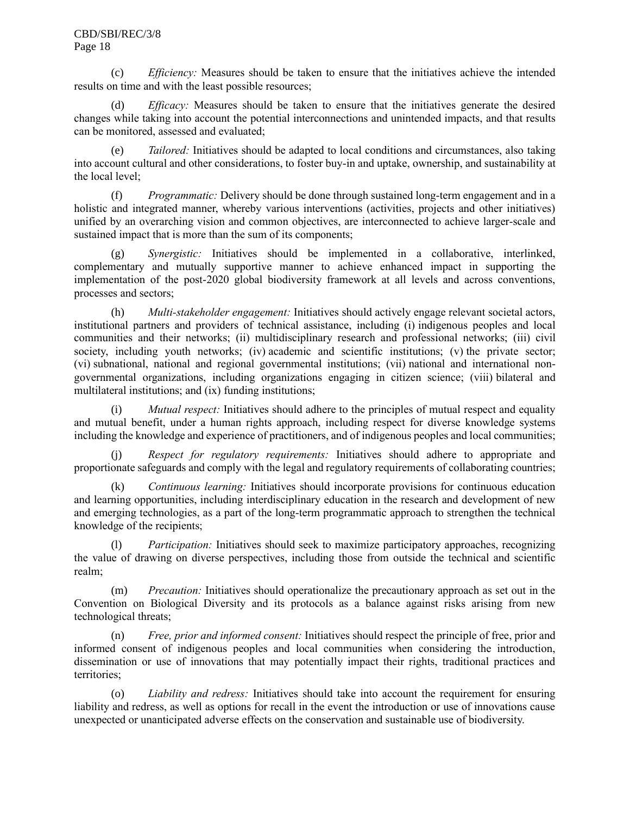#### CBD/SBI/REC/3/8 Page 18

(c) *Efficiency:* Measures should be taken to ensure that the initiatives achieve the intended results on time and with the least possible resources;

(d) *Efficacy:* Measures should be taken to ensure that the initiatives generate the desired changes while taking into account the potential interconnections and unintended impacts, and that results can be monitored, assessed and evaluated;

(e) *Tailored:* Initiatives should be adapted to local conditions and circumstances, also taking into account cultural and other considerations, to foster buy-in and uptake, ownership, and sustainability at the local level;

(f) *Programmatic:* Delivery should be done through sustained long-term engagement and in a holistic and integrated manner, whereby various interventions (activities, projects and other initiatives) unified by an overarching vision and common objectives, are interconnected to achieve larger-scale and sustained impact that is more than the sum of its components;

(g) *Synergistic:* Initiatives should be implemented in a collaborative, interlinked, complementary and mutually supportive manner to achieve enhanced impact in supporting the implementation of the post-2020 global biodiversity framework at all levels and across conventions, processes and sectors;

(h) *Multi-stakeholder engagement:* Initiatives should actively engage relevant societal actors, institutional partners and providers of technical assistance, including (i) indigenous peoples and local communities and their networks; (ii) multidisciplinary research and professional networks; (iii) civil society, including youth networks; (iv) academic and scientific institutions; (v) the private sector; (vi) subnational, national and regional governmental institutions; (vii) national and international nongovernmental organizations, including organizations engaging in citizen science; (viii) bilateral and multilateral institutions; and (ix) funding institutions;

(i) *Mutual respect:* Initiatives should adhere to the principles of mutual respect and equality and mutual benefit, under a human rights approach, including respect for diverse knowledge systems including the knowledge and experience of practitioners, and of indigenous peoples and local communities;

(j) *Respect for regulatory requirements:* Initiatives should adhere to appropriate and proportionate safeguards and comply with the legal and regulatory requirements of collaborating countries;

(k) *Continuous learning:* Initiatives should incorporate provisions for continuous education and learning opportunities, including interdisciplinary education in the research and development of new and emerging technologies, as a part of the long-term programmatic approach to strengthen the technical knowledge of the recipients;

(l) *Participation:* Initiatives should seek to maximize participatory approaches, recognizing the value of drawing on diverse perspectives, including those from outside the technical and scientific realm;

(m) *Precaution:* Initiatives should operationalize the precautionary approach as set out in the Convention on Biological Diversity and its protocols as a balance against risks arising from new technological threats;

(n) *Free, prior and informed consent:* Initiatives should respect the principle of free, prior and informed consent of indigenous peoples and local communities when considering the introduction, dissemination or use of innovations that may potentially impact their rights, traditional practices and territories;

(o) *Liability and redress:* Initiatives should take into account the requirement for ensuring liability and redress, as well as options for recall in the event the introduction or use of innovations cause unexpected or unanticipated adverse effects on the conservation and sustainable use of biodiversity.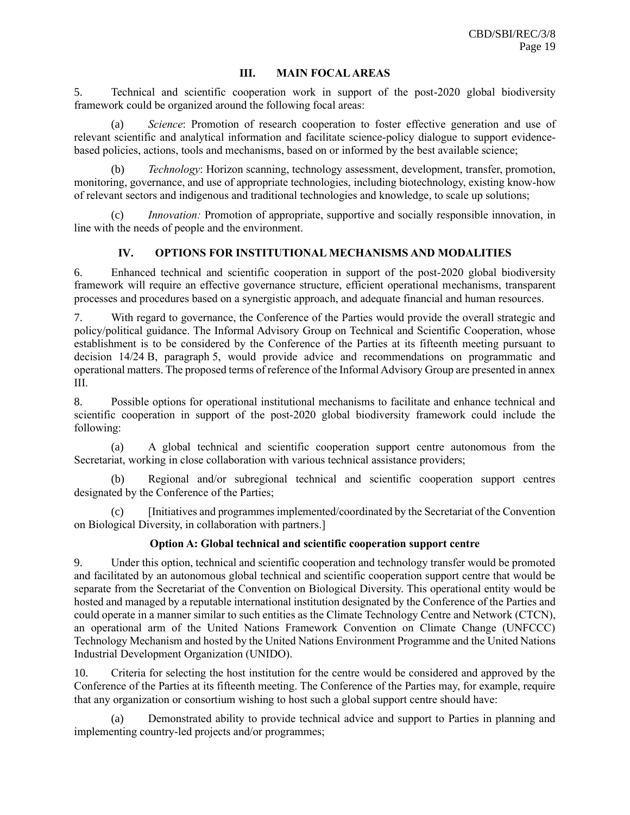## **III. MAIN FOCAL AREAS**

5. Technical and scientific cooperation work in support of the post-2020 global biodiversity framework could be organized around the following focal areas:

Science: Promotion of research cooperation to foster effective generation and use of relevant scientific and analytical information and facilitate science-policy dialogue to support evidencebased policies, actions, tools and mechanisms, based on or informed by the best available science;

(b) *Technology*: Horizon scanning, technology assessment, development, transfer, promotion, monitoring, governance, and use of appropriate technologies, including biotechnology, existing know-how of relevant sectors and indigenous and traditional technologies and knowledge, to scale up solutions;

*Innovation:* Promotion of appropriate, supportive and socially responsible innovation, in line with the needs of people and the environment.

# **IV. OPTIONS FOR INSTITUTIONAL MECHANISMS AND MODALITIES**

6. Enhanced technical and scientific cooperation in support of the post-2020 global biodiversity framework will require an effective governance structure, efficient operational mechanisms, transparent processes and procedures based on a synergistic approach, and adequate financial and human resources.

7. With regard to governance, the Conference of the Parties would provide the overall strategic and policy/political guidance. The Informal Advisory Group on Technical and Scientific Cooperation, whose establishment is to be considered by the Conference of the Parties at its fifteenth meeting pursuant to decision 14/24 B, paragraph 5, would provide advice and recommendations on programmatic and operational matters. The proposed terms of reference of the Informal Advisory Group are presented in annex III.

8. Possible options for operational institutional mechanisms to facilitate and enhance technical and scientific cooperation in support of the post-2020 global biodiversity framework could include the following:

(a) A global technical and scientific cooperation support centre autonomous from the Secretariat, working in close collaboration with various technical assistance providers;

(b) Regional and/or subregional technical and scientific cooperation support centres designated by the Conference of the Parties;

(c) [Initiatives and programmes implemented/coordinated by the Secretariat of the Convention on Biological Diversity, in collaboration with partners.]

# **Option A: Global technical and scientific cooperation support centre**

9. Under this option, technical and scientific cooperation and technology transfer would be promoted and facilitated by an autonomous global technical and scientific cooperation support centre that would be separate from the Secretariat of the Convention on Biological Diversity. This operational entity would be hosted and managed by a reputable international institution designated by the Conference of the Parties and could operate in a manner similar to such entities as the Climate Technology Centre and Network (CTCN), an operational arm of the United Nations Framework Convention on Climate Change (UNFCCC) Technology Mechanism and hosted by the United Nations Environment Programme and the United Nations Industrial Development Organization (UNIDO).

10. Criteria for selecting the host institution for the centre would be considered and approved by the Conference of the Parties at its fifteenth meeting. The Conference of the Parties may, for example, require that any organization or consortium wishing to host such a global support centre should have:

(a) Demonstrated ability to provide technical advice and support to Parties in planning and implementing country-led projects and/or programmes;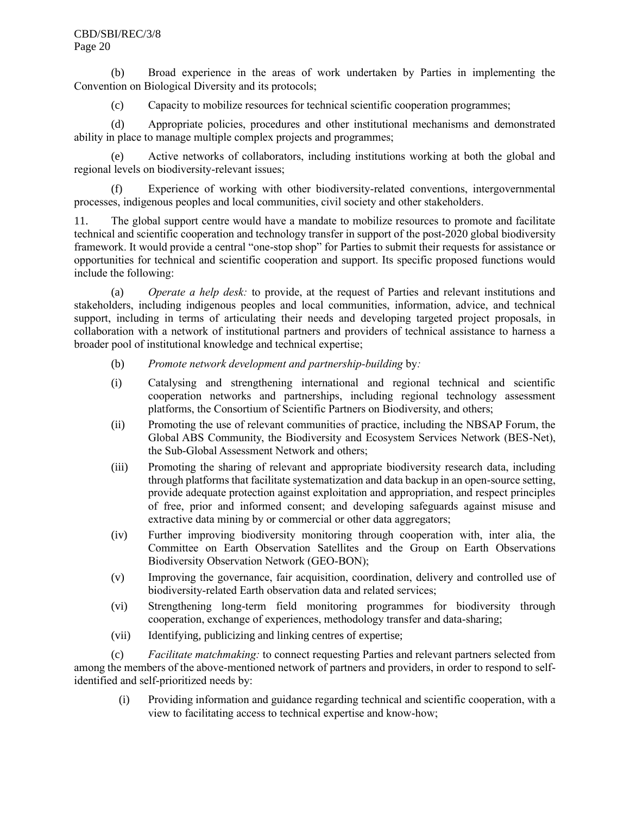#### CBD/SBI/REC/3/8 Page 20

(b) Broad experience in the areas of work undertaken by Parties in implementing the Convention on Biological Diversity and its protocols;

(c) Capacity to mobilize resources for technical scientific cooperation programmes;

(d) Appropriate policies, procedures and other institutional mechanisms and demonstrated ability in place to manage multiple complex projects and programmes;

(e) Active networks of collaborators, including institutions working at both the global and regional levels on biodiversity-relevant issues;

Experience of working with other biodiversity-related conventions, intergovernmental processes, indigenous peoples and local communities, civil society and other stakeholders.

11. The global support centre would have a mandate to mobilize resources to promote and facilitate technical and scientific cooperation and technology transfer in support of the post-2020 global biodiversity framework. It would provide a central "one-stop shop" for Parties to submit their requests for assistance or opportunities for technical and scientific cooperation and support. Its specific proposed functions would include the following:

(a) *Operate a help desk:* to provide, at the request of Parties and relevant institutions and stakeholders, including indigenous peoples and local communities, information, advice, and technical support, including in terms of articulating their needs and developing targeted project proposals, in collaboration with a network of institutional partners and providers of technical assistance to harness a broader pool of institutional knowledge and technical expertise;

- (b) *Promote network development and partnership-building* by*:*
- (i) Catalysing and strengthening international and regional technical and scientific cooperation networks and partnerships, including regional technology assessment platforms, the Consortium of Scientific Partners on Biodiversity, and others;
- (ii) Promoting the use of relevant communities of practice, including the NBSAP Forum, the Global ABS Community, the Biodiversity and Ecosystem Services Network (BES-Net), the Sub-Global Assessment Network and others;
- (iii) Promoting the sharing of relevant and appropriate biodiversity research data, including through platforms that facilitate systematization and data backup in an open-source setting, provide adequate protection against exploitation and appropriation, and respect principles of free, prior and informed consent; and developing safeguards against misuse and extractive data mining by or commercial or other data aggregators;
- (iv) Further improving biodiversity monitoring through cooperation with, inter alia, the Committee on Earth Observation Satellites and the Group on Earth Observations Biodiversity Observation Network (GEO-BON);
- (v) Improving the governance, fair acquisition, coordination, delivery and controlled use of biodiversity-related Earth observation data and related services;
- (vi) Strengthening long-term field monitoring programmes for biodiversity through cooperation, exchange of experiences, methodology transfer and data-sharing;
- (vii) Identifying, publicizing and linking centres of expertise;

(c) *Facilitate matchmaking:* to connect requesting Parties and relevant partners selected from among the members of the above-mentioned network of partners and providers, in order to respond to selfidentified and self-prioritized needs by:

(i) Providing information and guidance regarding technical and scientific cooperation, with a view to facilitating access to technical expertise and know-how;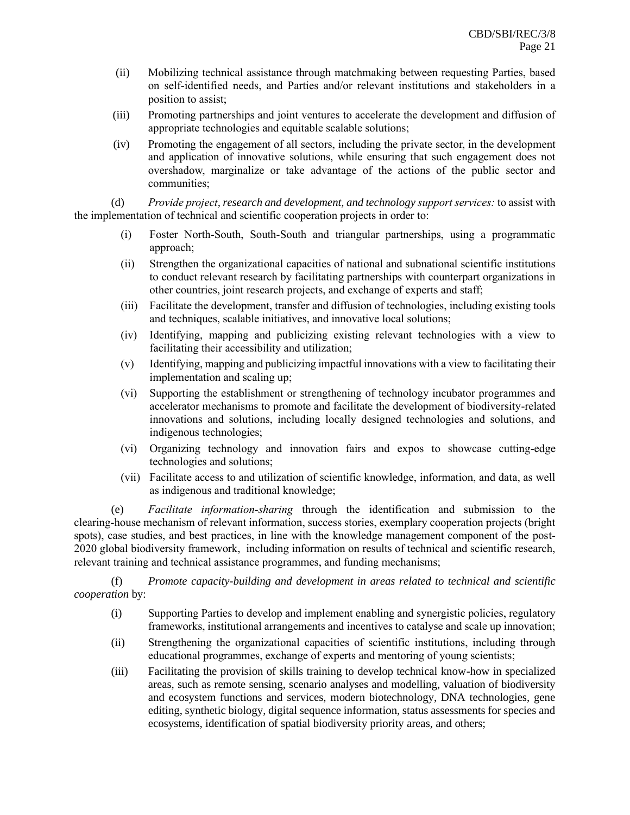- (ii) Mobilizing technical assistance through matchmaking between requesting Parties, based on self-identified needs, and Parties and/or relevant institutions and stakeholders in a position to assist;
- (iii) Promoting partnerships and joint ventures to accelerate the development and diffusion of appropriate technologies and equitable scalable solutions;
- (iv) Promoting the engagement of all sectors, including the private sector, in the development and application of innovative solutions, while ensuring that such engagement does not overshadow, marginalize or take advantage of the actions of the public sector and communities;

(d) *Provide project, research and development, and technology support services:* to assist with the implementation of technical and scientific cooperation projects in order to:

- (i) Foster North-South, South-South and triangular partnerships, using a programmatic approach;
- (ii) Strengthen the organizational capacities of national and subnational scientific institutions to conduct relevant research by facilitating partnerships with counterpart organizations in other countries, joint research projects, and exchange of experts and staff;
- (iii) Facilitate the development, transfer and diffusion of technologies, including existing tools and techniques, scalable initiatives, and innovative local solutions;
- (iv) Identifying, mapping and publicizing existing relevant technologies with a view to facilitating their accessibility and utilization;
- (v) Identifying, mapping and publicizing impactful innovations with a view to facilitating their implementation and scaling up;
- (vi) Supporting the establishment or strengthening of technology incubator programmes and accelerator mechanisms to promote and facilitate the development of biodiversity-related innovations and solutions, including locally designed technologies and solutions, and indigenous technologies;
- (vi) Organizing technology and innovation fairs and expos to showcase cutting-edge technologies and solutions;
- (vii) Facilitate access to and utilization of scientific knowledge, information, and data, as well as indigenous and traditional knowledge;

(e) *Facilitate information-sharing* through the identification and submission to the clearing-house mechanism of relevant information, success stories, exemplary cooperation projects (bright spots), case studies, and best practices, in line with the knowledge management component of the post-2020 global biodiversity framework, including information on results of technical and scientific research, relevant training and technical assistance programmes, and funding mechanisms;

(f) *Promote capacity-building and development in areas related to technical and scientific cooperation* by:

- (i) Supporting Parties to develop and implement enabling and synergistic policies, regulatory frameworks, institutional arrangements and incentives to catalyse and scale up innovation;
- (ii) Strengthening the organizational capacities of scientific institutions, including through educational programmes, exchange of experts and mentoring of young scientists;
- (iii) Facilitating the provision of skills training to develop technical know-how in specialized areas, such as remote sensing, scenario analyses and modelling, valuation of biodiversity and ecosystem functions and services, modern biotechnology, DNA technologies, gene editing, synthetic biology, digital sequence information, status assessments for species and ecosystems, identification of spatial biodiversity priority areas, and others;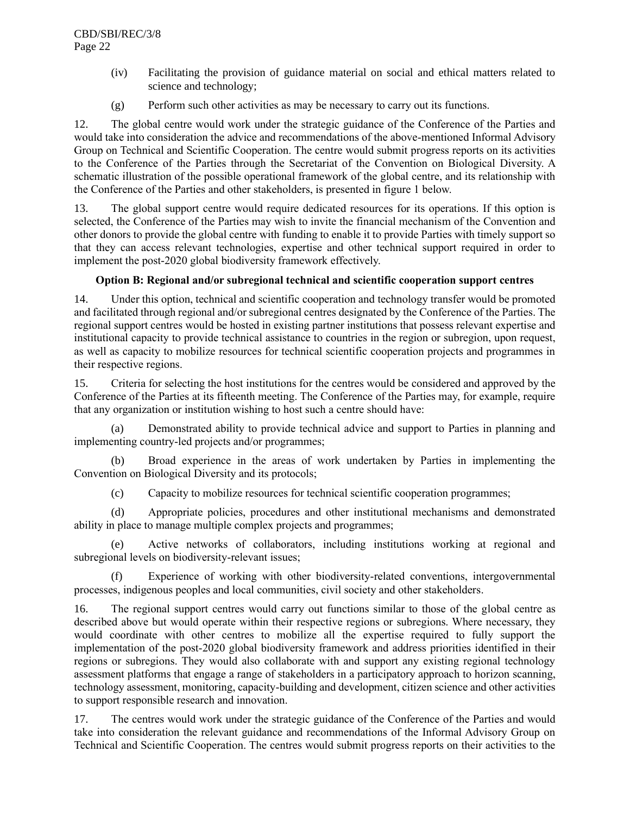- (iv) Facilitating the provision of guidance material on social and ethical matters related to science and technology;
- (g) Perform such other activities as may be necessary to carry out its functions.

12. The global centre would work under the strategic guidance of the Conference of the Parties and would take into consideration the advice and recommendations of the above-mentioned Informal Advisory Group on Technical and Scientific Cooperation. The centre would submit progress reports on its activities to the Conference of the Parties through the Secretariat of the Convention on Biological Diversity. A schematic illustration of the possible operational framework of the global centre, and its relationship with the Conference of the Parties and other stakeholders, is presented in figure 1 below.

13. The global support centre would require dedicated resources for its operations. If this option is selected, the Conference of the Parties may wish to invite the financial mechanism of the Convention and other donors to provide the global centre with funding to enable it to provide Parties with timely support so that they can access relevant technologies, expertise and other technical support required in order to implement the post-2020 global biodiversity framework effectively.

# **Option B: Regional and/or subregional technical and scientific cooperation support centres**

14. Under this option, technical and scientific cooperation and technology transfer would be promoted and facilitated through regional and/or subregional centres designated by the Conference of the Parties. The regional support centres would be hosted in existing partner institutions that possess relevant expertise and institutional capacity to provide technical assistance to countries in the region or subregion, upon request, as well as capacity to mobilize resources for technical scientific cooperation projects and programmes in their respective regions.

15. Criteria for selecting the host institutions for the centres would be considered and approved by the Conference of the Parties at its fifteenth meeting. The Conference of the Parties may, for example, require that any organization or institution wishing to host such a centre should have:

(a) Demonstrated ability to provide technical advice and support to Parties in planning and implementing country-led projects and/or programmes;

(b) Broad experience in the areas of work undertaken by Parties in implementing the Convention on Biological Diversity and its protocols;

(c) Capacity to mobilize resources for technical scientific cooperation programmes;

(d) Appropriate policies, procedures and other institutional mechanisms and demonstrated ability in place to manage multiple complex projects and programmes;

(e) Active networks of collaborators, including institutions working at regional and subregional levels on biodiversity-relevant issues;

(f) Experience of working with other biodiversity-related conventions, intergovernmental processes, indigenous peoples and local communities, civil society and other stakeholders.

16. The regional support centres would carry out functions similar to those of the global centre as described above but would operate within their respective regions or subregions. Where necessary, they would coordinate with other centres to mobilize all the expertise required to fully support the implementation of the post-2020 global biodiversity framework and address priorities identified in their regions or subregions. They would also collaborate with and support any existing regional technology assessment platforms that engage a range of stakeholders in a participatory approach to horizon scanning, technology assessment, monitoring, capacity-building and development, citizen science and other activities to support responsible research and innovation.

17. The centres would work under the strategic guidance of the Conference of the Parties and would take into consideration the relevant guidance and recommendations of the Informal Advisory Group on Technical and Scientific Cooperation. The centres would submit progress reports on their activities to the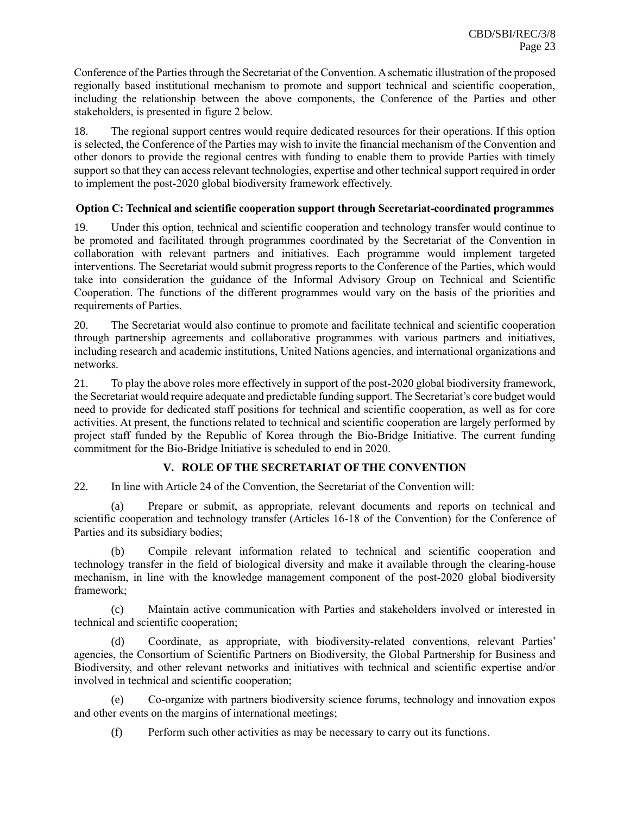Conference of the Parties through the Secretariat of the Convention. A schematic illustration of the proposed regionally based institutional mechanism to promote and support technical and scientific cooperation, including the relationship between the above components, the Conference of the Parties and other stakeholders, is presented in figure 2 below.

18. The regional support centres would require dedicated resources for their operations. If this option is selected, the Conference of the Parties may wish to invite the financial mechanism of the Convention and other donors to provide the regional centres with funding to enable them to provide Parties with timely support so that they can access relevant technologies, expertise and other technical support required in order to implement the post-2020 global biodiversity framework effectively.

## **Option C: Technical and scientific cooperation support through Secretariat-coordinated programmes**

19. Under this option, technical and scientific cooperation and technology transfer would continue to be promoted and facilitated through programmes coordinated by the Secretariat of the Convention in collaboration with relevant partners and initiatives. Each programme would implement targeted interventions. The Secretariat would submit progress reports to the Conference of the Parties, which would take into consideration the guidance of the Informal Advisory Group on Technical and Scientific Cooperation. The functions of the different programmes would vary on the basis of the priorities and requirements of Parties.

20. The Secretariat would also continue to promote and facilitate technical and scientific cooperation through partnership agreements and collaborative programmes with various partners and initiatives, including research and academic institutions, United Nations agencies, and international organizations and networks.

21. To play the above roles more effectively in support of the post-2020 global biodiversity framework, the Secretariat would require adequate and predictable funding support. The Secretariat's core budget would need to provide for dedicated staff positions for technical and scientific cooperation, as well as for core activities. At present, the functions related to technical and scientific cooperation are largely performed by project staff funded by the Republic of Korea through the Bio-Bridge Initiative. The current funding commitment for the Bio-Bridge Initiative is scheduled to end in 2020.

# **V. ROLE OF THE SECRETARIAT OF THE CONVENTION**

22. In line with Article 24 of the Convention, the Secretariat of the Convention will:

(a) Prepare or submit, as appropriate, relevant documents and reports on technical and scientific cooperation and technology transfer (Articles 16-18 of the Convention) for the Conference of Parties and its subsidiary bodies;

(b) Compile relevant information related to technical and scientific cooperation and technology transfer in the field of biological diversity and make it available through the clearing-house mechanism, in line with the knowledge management component of the post-2020 global biodiversity framework;

(c) Maintain active communication with Parties and stakeholders involved or interested in technical and scientific cooperation;

(d) Coordinate, as appropriate, with biodiversity-related conventions, relevant Parties' agencies, the Consortium of Scientific Partners on Biodiversity, the Global Partnership for Business and Biodiversity, and other relevant networks and initiatives with technical and scientific expertise and/or involved in technical and scientific cooperation;

(e) Co-organize with partners biodiversity science forums, technology and innovation expos and other events on the margins of international meetings;

(f) Perform such other activities as may be necessary to carry out its functions.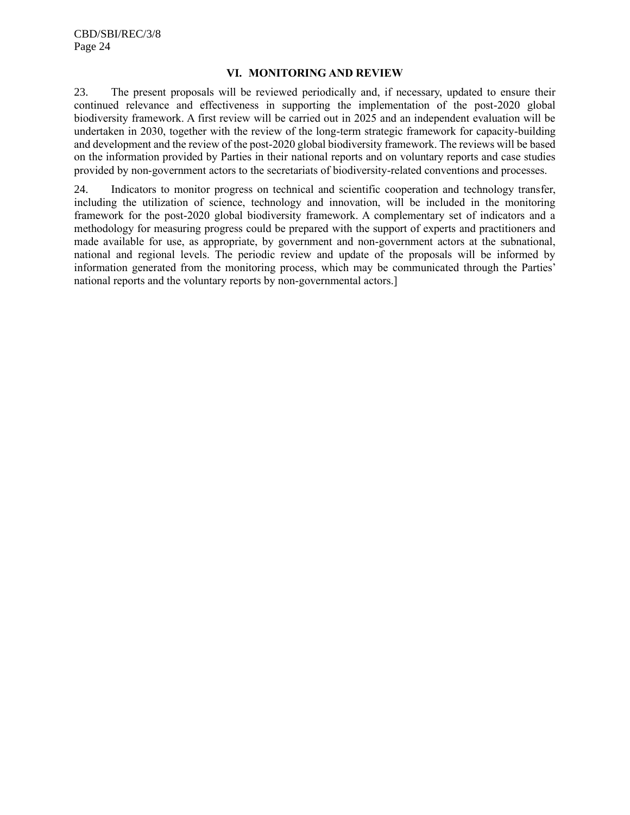#### **VI. MONITORING AND REVIEW**

23. The present proposals will be reviewed periodically and, if necessary, updated to ensure their continued relevance and effectiveness in supporting the implementation of the post-2020 global biodiversity framework. A first review will be carried out in 2025 and an independent evaluation will be undertaken in 2030, together with the review of the long-term strategic framework for capacity-building and development and the review of the post-2020 global biodiversity framework. The reviews will be based on the information provided by Parties in their national reports and on voluntary reports and case studies provided by non-government actors to the secretariats of biodiversity-related conventions and processes.

24. Indicators to monitor progress on technical and scientific cooperation and technology transfer, including the utilization of science, technology and innovation, will be included in the monitoring framework for the post-2020 global biodiversity framework. A complementary set of indicators and a methodology for measuring progress could be prepared with the support of experts and practitioners and made available for use, as appropriate, by government and non-government actors at the subnational, national and regional levels. The periodic review and update of the proposals will be informed by information generated from the monitoring process, which may be communicated through the Parties' national reports and the voluntary reports by non-governmental actors.]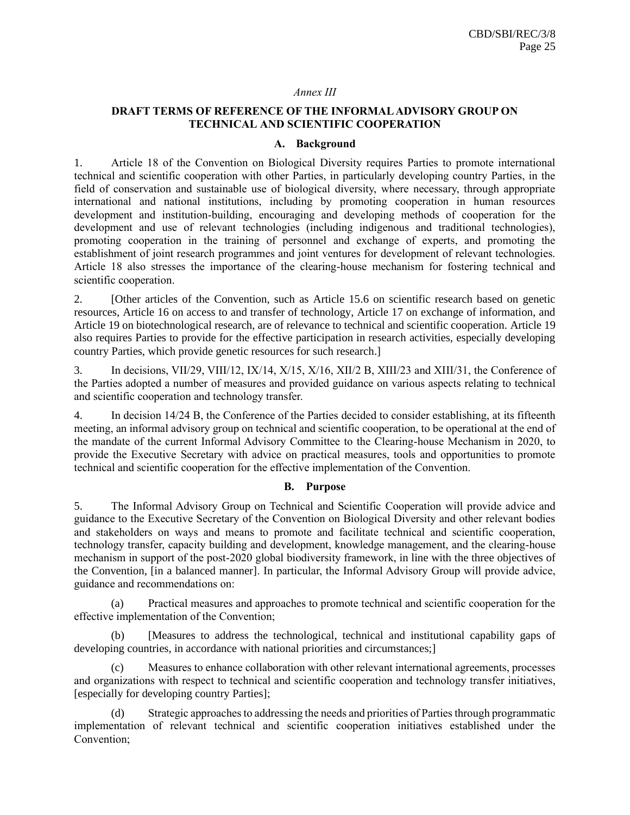#### *Annex III*

## **DRAFT TERMS OF REFERENCE OF THE INFORMAL ADVISORY GROUP ON TECHNICAL AND SCIENTIFIC COOPERATION**

#### **A. Background**

1. Article 18 of the Convention on Biological Diversity requires Parties to promote international technical and scientific cooperation with other Parties, in particularly developing country Parties, in the field of conservation and sustainable use of biological diversity, where necessary, through appropriate international and national institutions, including by promoting cooperation in human resources development and institution-building, encouraging and developing methods of cooperation for the development and use of relevant technologies (including indigenous and traditional technologies), promoting cooperation in the training of personnel and exchange of experts, and promoting the establishment of joint research programmes and joint ventures for development of relevant technologies. Article 18 also stresses the importance of the clearing-house mechanism for fostering technical and scientific cooperation.

2. [Other articles of the Convention, such as Article 15.6 on scientific research based on genetic resources, Article 16 on access to and transfer of technology, Article 17 on exchange of information, and Article 19 on biotechnological research, are of relevance to technical and scientific cooperation. Article 19 also requires Parties to provide for the effective participation in research activities, especially developing country Parties, which provide genetic resources for such research.]

3. In decisions, VII/29, VIII/12, IX/14, X/15, X/16, XII/2 B, XIII/23 and XIII/31, the Conference of the Parties adopted a number of measures and provided guidance on various aspects relating to technical and scientific cooperation and technology transfer.

4. In decision 14/24 B, the Conference of the Parties decided to consider establishing, at its fifteenth meeting, an informal advisory group on technical and scientific cooperation, to be operational at the end of the mandate of the current Informal Advisory Committee to the Clearing-house Mechanism in 2020, to provide the Executive Secretary with advice on practical measures, tools and opportunities to promote technical and scientific cooperation for the effective implementation of the Convention.

#### **B. Purpose**

5. The Informal Advisory Group on Technical and Scientific Cooperation will provide advice and guidance to the Executive Secretary of the Convention on Biological Diversity and other relevant bodies and stakeholders on ways and means to promote and facilitate technical and scientific cooperation, technology transfer, capacity building and development, knowledge management, and the clearing-house mechanism in support of the post-2020 global biodiversity framework, in line with the three objectives of the Convention, [in a balanced manner]. In particular, the Informal Advisory Group will provide advice, guidance and recommendations on:

Practical measures and approaches to promote technical and scientific cooperation for the effective implementation of the Convention;

(b) [Measures to address the technological, technical and institutional capability gaps of developing countries, in accordance with national priorities and circumstances;]

Measures to enhance collaboration with other relevant international agreements, processes and organizations with respect to technical and scientific cooperation and technology transfer initiatives, [especially for developing country Parties];

(d) Strategic approaches to addressing the needs and priorities of Parties through programmatic implementation of relevant technical and scientific cooperation initiatives established under the Convention;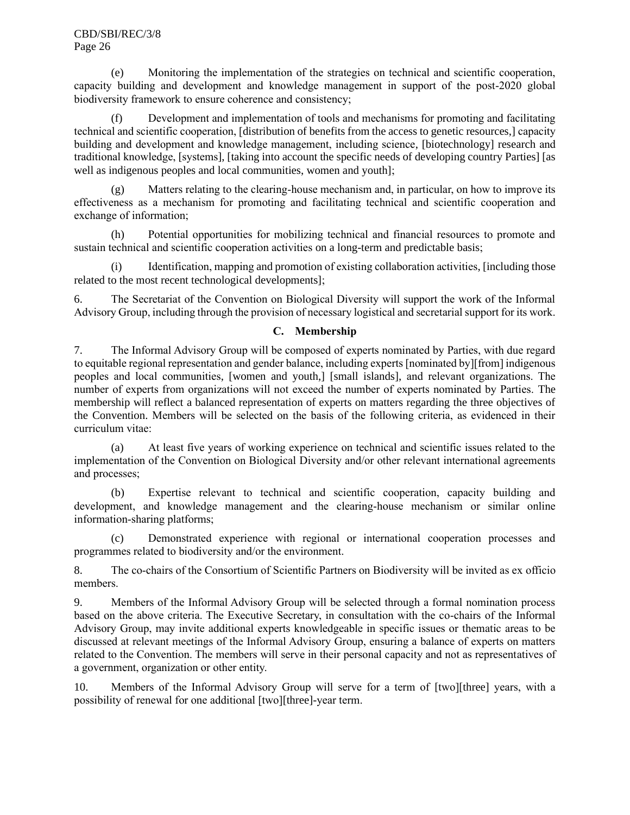(e) Monitoring the implementation of the strategies on technical and scientific cooperation, capacity building and development and knowledge management in support of the post-2020 global biodiversity framework to ensure coherence and consistency;

(f) Development and implementation of tools and mechanisms for promoting and facilitating technical and scientific cooperation, [distribution of benefits from the access to genetic resources,] capacity building and development and knowledge management, including science, [biotechnology] research and traditional knowledge, [systems], [taking into account the specific needs of developing country Parties] [as well as indigenous peoples and local communities, women and youth];

(g) Matters relating to the clearing-house mechanism and, in particular, on how to improve its effectiveness as a mechanism for promoting and facilitating technical and scientific cooperation and exchange of information;

(h) Potential opportunities for mobilizing technical and financial resources to promote and sustain technical and scientific cooperation activities on a long-term and predictable basis;

(i) Identification, mapping and promotion of existing collaboration activities, [including those related to the most recent technological developments];

6. The Secretariat of the Convention on Biological Diversity will support the work of the Informal Advisory Group, including through the provision of necessary logistical and secretarial support for its work.

# **C. Membership**

7. The Informal Advisory Group will be composed of experts nominated by Parties, with due regard to equitable regional representation and gender balance, including experts [nominated by][from] indigenous peoples and local communities, [women and youth,] [small islands], and relevant organizations. The number of experts from organizations will not exceed the number of experts nominated by Parties. The membership will reflect a balanced representation of experts on matters regarding the three objectives of the Convention. Members will be selected on the basis of the following criteria, as evidenced in their curriculum vitae:

(a) At least five years of working experience on technical and scientific issues related to the implementation of the Convention on Biological Diversity and/or other relevant international agreements and processes;

(b) Expertise relevant to technical and scientific cooperation, capacity building and development, and knowledge management and the clearing-house mechanism or similar online information-sharing platforms;

(c) Demonstrated experience with regional or international cooperation processes and programmes related to biodiversity and/or the environment.

8. The co-chairs of the Consortium of Scientific Partners on Biodiversity will be invited as ex officio members.

9. Members of the Informal Advisory Group will be selected through a formal nomination process based on the above criteria. The Executive Secretary, in consultation with the co-chairs of the Informal Advisory Group, may invite additional experts knowledgeable in specific issues or thematic areas to be discussed at relevant meetings of the Informal Advisory Group, ensuring a balance of experts on matters related to the Convention. The members will serve in their personal capacity and not as representatives of a government, organization or other entity.

10. Members of the Informal Advisory Group will serve for a term of [two][three] years, with a possibility of renewal for one additional [two][three]-year term.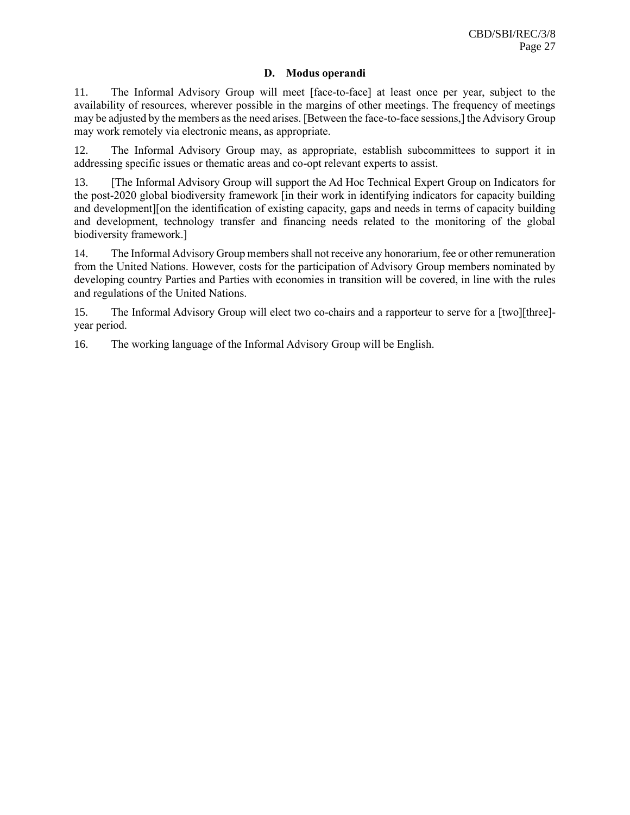#### **D. Modus operandi**

11. The Informal Advisory Group will meet [face-to-face] at least once per year, subject to the availability of resources, wherever possible in the margins of other meetings. The frequency of meetings may be adjusted by the members as the need arises. [Between the face-to-face sessions,] the Advisory Group may work remotely via electronic means, as appropriate.

12. The Informal Advisory Group may, as appropriate, establish subcommittees to support it in addressing specific issues or thematic areas and co-opt relevant experts to assist.

13. [The Informal Advisory Group will support the Ad Hoc Technical Expert Group on Indicators for the post-2020 global biodiversity framework [in their work in identifying indicators for capacity building and development][on the identification of existing capacity, gaps and needs in terms of capacity building and development, technology transfer and financing needs related to the monitoring of the global biodiversity framework.]

14. The Informal Advisory Group members shall not receive any honorarium, fee or other remuneration from the United Nations. However, costs for the participation of Advisory Group members nominated by developing country Parties and Parties with economies in transition will be covered, in line with the rules and regulations of the United Nations.

15. The Informal Advisory Group will elect two co-chairs and a rapporteur to serve for a [two][three] year period.

16. The working language of the Informal Advisory Group will be English.